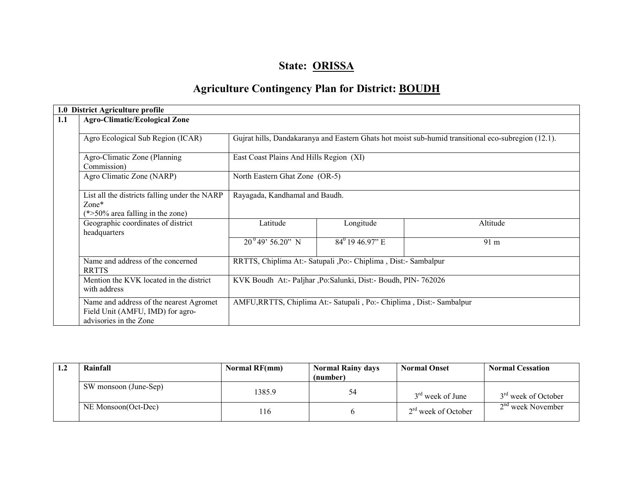# State: ORISSA

# Agriculture Contingency Plan for District: BOUDH

| 1.0 District Agriculture profile                           |                                               |                                                                                                                                  |                                                                      |          |  |  |  |  |  |
|------------------------------------------------------------|-----------------------------------------------|----------------------------------------------------------------------------------------------------------------------------------|----------------------------------------------------------------------|----------|--|--|--|--|--|
| 1.1                                                        | <b>Agro-Climatic/Ecological Zone</b>          |                                                                                                                                  |                                                                      |          |  |  |  |  |  |
| Agro Ecological Sub Region (ICAR)                          |                                               | Gujrat hills, Dandakaranya and Eastern Ghats hot moist sub-humid transitional eco-subregion (12.1).                              |                                                                      |          |  |  |  |  |  |
| Agro-Climatic Zone (Planning)<br>Commission)               |                                               |                                                                                                                                  | East Coast Plains And Hills Region (XI)                              |          |  |  |  |  |  |
| Agro Climatic Zone (NARP)                                  |                                               |                                                                                                                                  | North Eastern Ghat Zone (OR-5)                                       |          |  |  |  |  |  |
| $Zone*$<br>$(*>50\%$ area falling in the zone)             | List all the districts falling under the NARP | Rayagada, Kandhamal and Baudh.                                                                                                   |                                                                      |          |  |  |  |  |  |
| Geographic coordinates of district<br>headquarters         |                                               | Latitude                                                                                                                         | Longitude                                                            | Altitude |  |  |  |  |  |
|                                                            |                                               | $20^{0}49'56.20"$ N                                                                                                              | $84^{\circ}$ 19 46.97" E                                             | 91 m     |  |  |  |  |  |
| Name and address of the concerned<br><b>RRTTS</b>          |                                               | RRTTS, Chiplima At:- Satupali ,Po:- Chiplima , Dist:- Sambalpur<br>KVK Boudh At:- Paljhar ,Po:Salunki, Dist:- Boudh, PIN- 762026 |                                                                      |          |  |  |  |  |  |
| Mention the KVK located in the district<br>with address    |                                               |                                                                                                                                  |                                                                      |          |  |  |  |  |  |
| Field Unit (AMFU, IMD) for agro-<br>advisories in the Zone | Name and address of the nearest Agromet       |                                                                                                                                  | AMFU, RRTTS, Chiplima At:- Satupali, Po:- Chiplima, Dist:- Sambalpur |          |  |  |  |  |  |

| 1.2 | Rainfall              | <b>Normal RF(mm)</b> | <b>Normal Rainy days</b> | <b>Normal Onset</b>   | <b>Normal Cessation</b>         |
|-----|-----------------------|----------------------|--------------------------|-----------------------|---------------------------------|
|     |                       |                      | (number)                 |                       |                                 |
|     | SW monsoon (June-Sep) | 1385.9               | 54                       | $3rd$ week of June    | 3 <sup>rd</sup> week of October |
|     | NE Monsoon(Oct-Dec)   | 116                  |                          | $2rd$ week of October | $2nd$ week November             |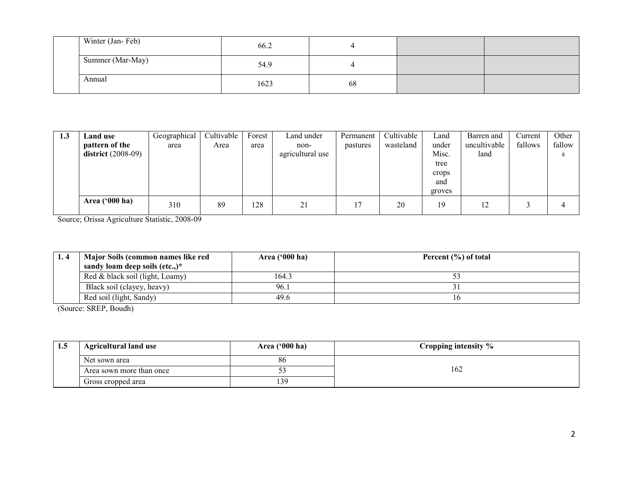| Winter (Jan-Feb) | 66.2 | ↤  |  |
|------------------|------|----|--|
| Summer (Mar-May) | 54.9 | 4  |  |
| Annual           | 1623 | 68 |  |

| 1.3 | <b>Land use</b>         | Geographical | Cultivable | Forest | Land under       | Permanent | Cultivable | ∟and   | Barren and   | Current | Other  |
|-----|-------------------------|--------------|------------|--------|------------------|-----------|------------|--------|--------------|---------|--------|
|     | pattern of the          | area         | Area       | area   | non-             | pastures  | wasteland  | under  | uncultivable | fallows | fallow |
|     | district $(2008-09)$    |              |            |        | agricultural use |           |            | Misc.  | land         |         |        |
|     |                         |              |            |        |                  |           |            | tree   |              |         |        |
|     |                         |              |            |        |                  |           |            | crops  |              |         |        |
|     |                         |              |            |        |                  |           |            | and    |              |         |        |
|     |                         |              |            |        |                  |           |            | groves |              |         |        |
|     | Area $(900 \text{ ha})$ | 310          | 89         | 128    | 21               | 17        | 20         | 19     | 12           |         | 4      |

Source; Orissa Agriculture Statistic, 2008-09

| Major Soils (common names like red      | Area $('000 ha)$ | Percent $(\% )$ of total |
|-----------------------------------------|------------------|--------------------------|
| sandy loam deep soils $(\text{etc.})^*$ |                  |                          |
| Red & black soil (light, Loamy)         | 164.3            |                          |
| Black soil (clayey, heavy)              | 96.1             |                          |
| Red soil (light, Sandy)                 | 49.6             |                          |

(Source: SREP, Boudh)

| 1.3 | <b>Agricultural land use</b> | Area ('000 ha) | Cropping intensity % |
|-----|------------------------------|----------------|----------------------|
|     | Net sown area                | 86             |                      |
|     | Area sown more than once     | ◡-             | 162                  |
|     | Gross cropped area           | 13G            |                      |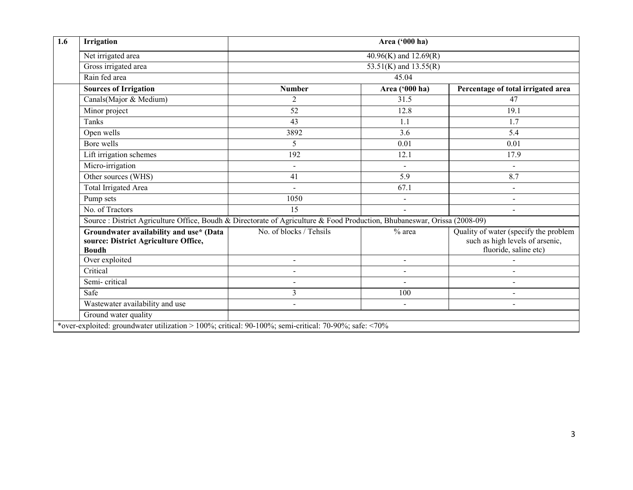| Irrigation                                                                                                                | Area ('000 ha)           |                |                                                                                                   |  |  |  |  |  |
|---------------------------------------------------------------------------------------------------------------------------|--------------------------|----------------|---------------------------------------------------------------------------------------------------|--|--|--|--|--|
| Net irrigated area                                                                                                        | 40.96(K) and $12.69(R)$  |                |                                                                                                   |  |  |  |  |  |
| Gross irrigated area                                                                                                      | 53.51(K) and $13.55(R)$  |                |                                                                                                   |  |  |  |  |  |
| Rain fed area                                                                                                             | 45.04                    |                |                                                                                                   |  |  |  |  |  |
| <b>Sources of Irrigation</b>                                                                                              | <b>Number</b>            | Area ('000 ha) | Percentage of total irrigated area                                                                |  |  |  |  |  |
| Canals (Major & Medium)                                                                                                   | $\overline{2}$           | 31.5           | 47                                                                                                |  |  |  |  |  |
| Minor project                                                                                                             | $\overline{52}$          | 12.8           | 19.1                                                                                              |  |  |  |  |  |
| Tanks                                                                                                                     | 43                       | 1.1            | 1.7                                                                                               |  |  |  |  |  |
| Open wells                                                                                                                | 3892                     | 3.6            | 5.4                                                                                               |  |  |  |  |  |
| Bore wells                                                                                                                | 5                        | 0.01           | 0.01                                                                                              |  |  |  |  |  |
| Lift irrigation schemes                                                                                                   | 192                      | 12.1           | 17.9                                                                                              |  |  |  |  |  |
| Micro-irrigation                                                                                                          | $\blacksquare$           |                |                                                                                                   |  |  |  |  |  |
| Other sources (WHS)                                                                                                       | 41                       | 8.7            |                                                                                                   |  |  |  |  |  |
| Total Irrigated Area                                                                                                      | $\sim$                   | 67.1           | $\blacksquare$                                                                                    |  |  |  |  |  |
| Pump sets                                                                                                                 | 1050                     | $\blacksquare$ | $\overline{a}$                                                                                    |  |  |  |  |  |
| No. of Tractors                                                                                                           | $\overline{15}$          |                |                                                                                                   |  |  |  |  |  |
| Source : District Agriculture Office, Boudh & Directorate of Agriculture & Food Production, Bhubaneswar, Orissa (2008-09) |                          |                |                                                                                                   |  |  |  |  |  |
| Groundwater availability and use* (Data<br>source: District Agriculture Office,<br><b>Boudh</b>                           | No. of blocks / Tehsils  | $%$ area       | Quality of water (specify the problem<br>such as high levels of arsenic,<br>fluoride, saline etc) |  |  |  |  |  |
| Over exploited                                                                                                            | $\sim$                   | $\mathbf{r}$   |                                                                                                   |  |  |  |  |  |
| Critical                                                                                                                  | $\overline{\phantom{a}}$ | $\blacksquare$ |                                                                                                   |  |  |  |  |  |
| Semi-critical                                                                                                             | $\blacksquare$           | $\blacksquare$ | $\blacksquare$                                                                                    |  |  |  |  |  |
| Safe                                                                                                                      | 3                        | 100            | $\overline{a}$                                                                                    |  |  |  |  |  |
| Wastewater availability and use                                                                                           | $\overline{\phantom{a}}$ |                |                                                                                                   |  |  |  |  |  |
| Ground water quality                                                                                                      |                          |                |                                                                                                   |  |  |  |  |  |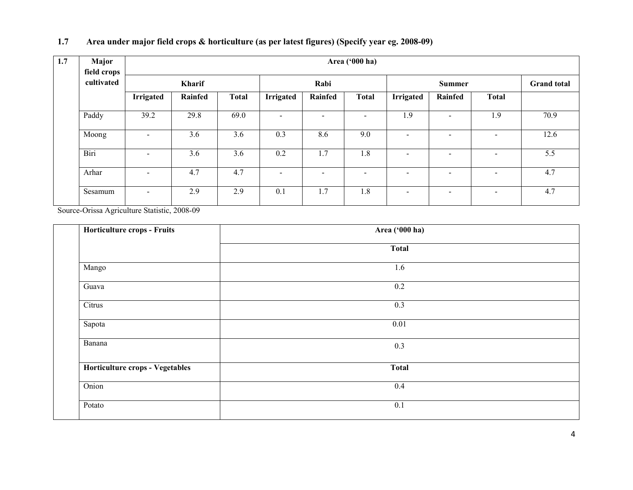| Major<br>field crops |                          |         |              |                          |                          | Area ('000 ha)           |                          |                          |                          |      |  |
|----------------------|--------------------------|---------|--------------|--------------------------|--------------------------|--------------------------|--------------------------|--------------------------|--------------------------|------|--|
| cultivated           |                          | Kharif  |              |                          | Rabi                     |                          |                          | <b>Summer</b>            |                          |      |  |
|                      | <b>Irrigated</b>         | Rainfed | <b>Total</b> | <b>Irrigated</b>         | Rainfed                  | <b>Total</b>             | <b>Irrigated</b>         | Rainfed                  | <b>Total</b>             |      |  |
| Paddy                | 39.2                     | 29.8    | 69.0         | $\overline{\phantom{a}}$ | $\blacksquare$           | $\overline{\phantom{a}}$ | 1.9                      | $\overline{\phantom{a}}$ | 1.9                      | 70.9 |  |
| Moong                | $\overline{\phantom{a}}$ | 3.6     | 3.6          | 0.3                      | 8.6                      | 9.0                      | $\overline{\phantom{a}}$ | $\overline{\phantom{a}}$ | -                        | 12.6 |  |
| Biri                 | $\sim$                   | 3.6     | 3.6          | 0.2                      | 1.7                      | 1.8                      | $\blacksquare$           | $\overline{\phantom{a}}$ | $\overline{\phantom{0}}$ | 5.5  |  |
| Arhar                | $\blacksquare$           | 4.7     | 4.7          | $\overline{\phantom{a}}$ | $\overline{\phantom{a}}$ | $\blacksquare$           | $\sim$                   | $\blacksquare$           | Ξ.                       | 4.7  |  |
| Sesamum              | $\blacksquare$           | 2.9     | 2.9          | 0.1                      | 1.7                      | 1.8                      | $\overline{\phantom{a}}$ | $\blacksquare$           | $\overline{\phantom{a}}$ | 4.7  |  |

#### 1.7 Area under major field crops & horticulture (as per latest figures) (Specify year eg. 2008-09)

Source-Orissa Agriculture Statistic, 2008-09

| Horticulture crops - Fruits     | Area ('000 ha) |  |
|---------------------------------|----------------|--|
|                                 | <b>Total</b>   |  |
| Mango                           | 1.6            |  |
| Guava                           | 0.2            |  |
| Citrus                          | 0.3            |  |
| Sapota                          | 0.01           |  |
| Banana                          | 0.3            |  |
| Horticulture crops - Vegetables | <b>Total</b>   |  |
| Onion                           | 0.4            |  |
| Potato                          | 0.1            |  |
|                                 |                |  |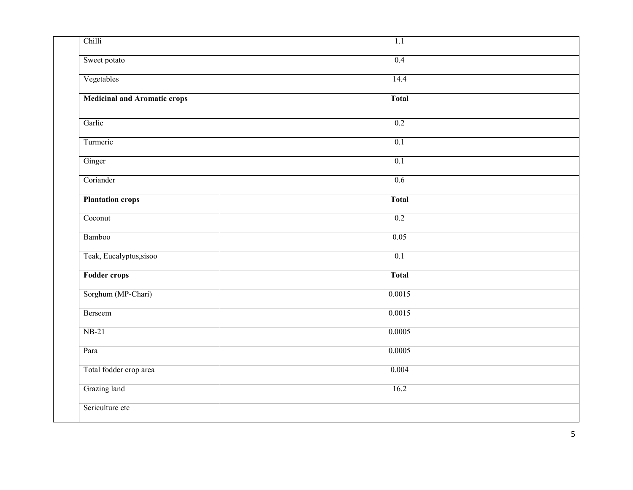| Chilli                              | $\overline{1.1}$ |
|-------------------------------------|------------------|
| Sweet potato                        | 0.4              |
| Vegetables                          | 14.4             |
| <b>Medicinal and Aromatic crops</b> | <b>Total</b>     |
| Garlic                              | 0.2              |
| Turmeric                            | 0.1              |
| Ginger                              | 0.1              |
| Coriander                           | 0.6              |
| <b>Plantation crops</b>             | <b>Total</b>     |
| Coconut                             | 0.2              |
| Bamboo                              | 0.05             |
| Teak, Eucalyptus, sisoo             | 0.1              |
| Fodder crops                        | <b>Total</b>     |
| Sorghum (MP-Chari)                  | 0.0015           |
| Berseem                             | 0.0015           |
| $NB-21$                             | 0.0005           |
| Para                                | 0.0005           |
| Total fodder crop area              | 0.004            |
| Grazing land                        | 16.2             |
| Sericulture etc                     |                  |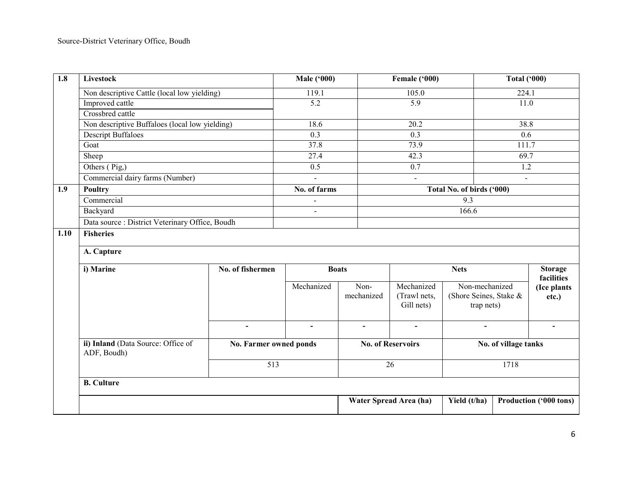| $\overline{1.8}$ | Livestock                                                                   |                          | <b>Male ('000)</b> |                          | Female ('000)                            |                                                        | <b>Total ('000)</b> |                              |  |
|------------------|-----------------------------------------------------------------------------|--------------------------|--------------------|--------------------------|------------------------------------------|--------------------------------------------------------|---------------------|------------------------------|--|
|                  | Non descriptive Cattle (local low yielding)                                 |                          | 119.1              |                          | 105.0                                    |                                                        |                     | 224.1                        |  |
|                  | Improved cattle                                                             |                          | $\overline{5.2}$   |                          | $\overline{5.9}$                         |                                                        | 11.0                |                              |  |
|                  | Crossbred cattle                                                            |                          |                    |                          |                                          |                                                        |                     |                              |  |
|                  | Non descriptive Buffaloes (local low yielding)<br><b>Descript Buffaloes</b> |                          | 18.6               |                          | 20.2                                     |                                                        | 38.8                |                              |  |
|                  |                                                                             |                          | $\overline{0.3}$   |                          | 0.3                                      |                                                        | 0.6                 |                              |  |
|                  | Goat                                                                        |                          | 37.8               |                          | 73.9                                     |                                                        | 111.7               |                              |  |
|                  | Sheep                                                                       |                          | 27.4               |                          | 42.3                                     |                                                        | 69.7                |                              |  |
|                  | Others (Pig,)                                                               |                          | $\overline{0.5}$   |                          | $\overline{0.7}$                         |                                                        | 1.2                 |                              |  |
|                  | Commercial dairy farms (Number)                                             |                          | $\blacksquare$     |                          | $\omega$                                 |                                                        | $\mathbf{r}$        |                              |  |
| 1.9              | <b>Poultry</b>                                                              |                          | No. of farms       |                          |                                          | Total No. of birds ('000)                              |                     |                              |  |
|                  | Commercial                                                                  |                          | $\overline{a}$     |                          |                                          | 9.3                                                    |                     |                              |  |
|                  | Backyard                                                                    |                          | $\overline{a}$     |                          |                                          | 166.6                                                  |                     |                              |  |
|                  | Data source : District Veterinary Office, Boudh                             |                          |                    |                          |                                          |                                                        |                     |                              |  |
| 1.10             | <b>Fisheries</b>                                                            |                          |                    |                          |                                          |                                                        |                     |                              |  |
|                  | A. Capture                                                                  |                          |                    |                          |                                          |                                                        |                     |                              |  |
|                  | i) Marine                                                                   | No. of fishermen         | <b>Boats</b>       |                          |                                          | <b>Nets</b>                                            |                     | <b>Storage</b><br>facilities |  |
|                  |                                                                             |                          | Mechanized         | Non-<br>mechanized       | Mechanized<br>(Trawl nets,<br>Gill nets) | Non-mechanized<br>(Shore Seines, Stake &<br>trap nets) |                     | (Ice plants<br>etc.)         |  |
|                  |                                                                             | $\overline{\phantom{a}}$ | $\blacksquare$     | $\blacksquare$           | $\overline{\phantom{a}}$                 | $\blacksquare$                                         |                     | $\blacksquare$               |  |
|                  | ii) Inland (Data Source: Office of<br>No. Farmer owned ponds<br>ADF, Boudh) |                          |                    | <b>No. of Reservoirs</b> |                                          | No. of village tanks                                   |                     |                              |  |
|                  |                                                                             |                          | $\overline{513}$   |                          | $\overline{26}$                          |                                                        | 1718                |                              |  |
|                  | <b>B.</b> Culture                                                           |                          |                    |                          |                                          |                                                        |                     |                              |  |
|                  |                                                                             |                          |                    |                          | Water Spread Area (ha)                   | Yield (t/ha)                                           |                     | Production ('000 tons)       |  |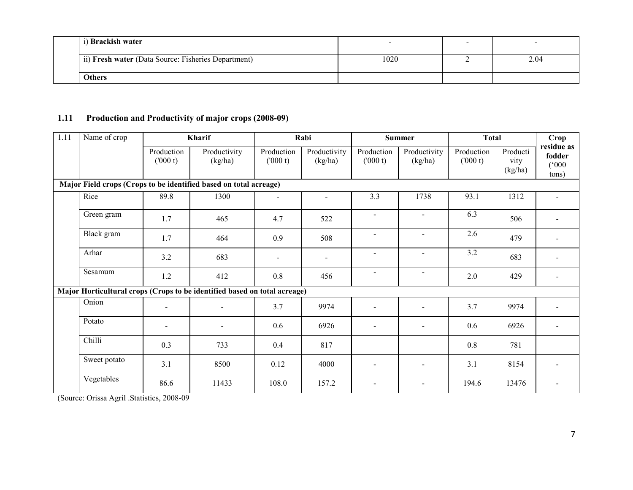| i) Brackish water                                   | -    |      |
|-----------------------------------------------------|------|------|
| ii) Fresh water (Data Source: Fisheries Department) | 1020 | 2.04 |
| <b>Others</b>                                       |      |      |

#### 1.11 Production and Productivity of major crops (2008-09)

| 1.11 | Name of crop                                                              |                          | Kharif                   | Rabi                  |                         | <b>Summer</b>         |                          | <b>Total</b>          |                             | Crop                                   |
|------|---------------------------------------------------------------------------|--------------------------|--------------------------|-----------------------|-------------------------|-----------------------|--------------------------|-----------------------|-----------------------------|----------------------------------------|
|      |                                                                           | Production<br>(000 t)    | Productivity<br>(kg/ha)  | Production<br>(000 t) | Productivity<br>(kg/ha) | Production<br>(000 t) | Productivity<br>(kg/ha)  | Production<br>(000 t) | Producti<br>vity<br>(kg/ha) | residue as<br>fodder<br>(000)<br>tons) |
|      | Major Field crops (Crops to be identified based on total acreage)         |                          |                          |                       |                         |                       |                          |                       |                             |                                        |
|      | Rice                                                                      | 89.8                     | 1300                     | $\overline{a}$        | $\sim$                  | 3.3                   | 1738                     | 93.1                  | 1312                        |                                        |
|      | Green gram                                                                | 1.7                      | 465                      | 4.7                   | 522                     |                       | $\sim$                   | 6.3                   | 506                         |                                        |
|      | Black gram                                                                | 1.7                      | 464                      | 0.9                   | 508                     | $\blacksquare$        | $\sim$                   | 2.6                   | 479                         |                                        |
|      | Arhar                                                                     | 3.2                      | 683                      | $\blacksquare$        | $\blacksquare$          | $\sim$                | $\blacksquare$           | 3.2                   | 683                         |                                        |
|      | Sesamum                                                                   | 1.2                      | 412                      | 0.8                   | 456                     |                       | $\sim$                   | 2.0                   | 429                         |                                        |
|      | Major Horticultural crops (Crops to be identified based on total acreage) |                          |                          |                       |                         |                       |                          |                       |                             |                                        |
|      | Onion                                                                     | $\blacksquare$           | $\overline{\phantom{a}}$ | 3.7                   | 9974                    |                       | $\overline{a}$           | 3.7                   | 9974                        |                                        |
|      | Potato                                                                    | $\overline{\phantom{a}}$ | $\blacksquare$           | 0.6                   | 6926                    |                       | $\overline{\phantom{a}}$ | 0.6                   | 6926                        |                                        |
|      | Chilli                                                                    | 0.3                      | 733                      | 0.4                   | 817                     |                       |                          | 0.8                   | 781                         |                                        |
|      | Sweet potato                                                              | 3.1                      | 8500                     | 0.12                  | 4000                    |                       | $\sim$                   | 3.1                   | 8154                        |                                        |
|      | Vegetables                                                                | 86.6                     | 11433                    | 108.0                 | 157.2                   |                       | $\overline{\phantom{a}}$ | 194.6                 | 13476                       |                                        |

(Source: Orissa Agril .Statistics, 2008-09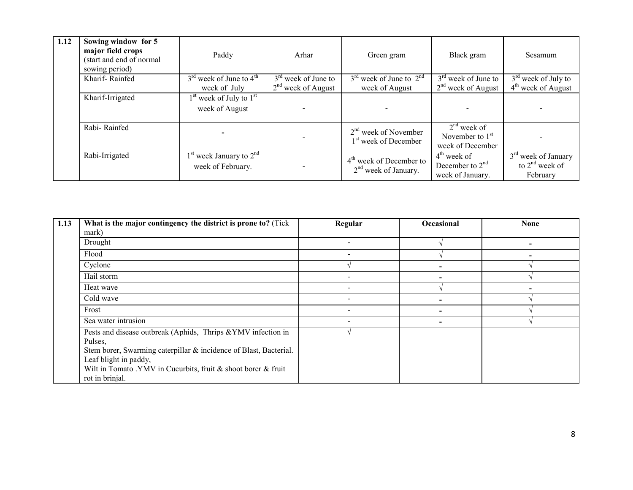| 1.12 | Sowing window for 5<br>major field crops<br>(start and end of normal<br>sowing period) | Paddy                                                             | Arhar                 | Green gram                                                 | Black gram                                             | Sesamum                                               |
|------|----------------------------------------------------------------------------------------|-------------------------------------------------------------------|-----------------------|------------------------------------------------------------|--------------------------------------------------------|-------------------------------------------------------|
|      | Kharif-Rainfed                                                                         | $3^{\text{rd}}$ week of June to $4^{\text{th}}$                   | $3rd$ week of June to | $3rd$ week of June to $2nd$                                | $3rd$ week of June to                                  | $3rd$ week of July to                                 |
|      |                                                                                        | week of July                                                      | $2nd$ week of August  | week of August                                             | $2nd$ week of August                                   | $4th$ week of August                                  |
|      | Kharif-Irrigated                                                                       | 1 <sup>st</sup> week of July to 1 <sup>st</sup><br>week of August |                       |                                                            |                                                        |                                                       |
|      | Rabi-Rainfed                                                                           |                                                                   |                       | $2nd$ week of November<br>1 <sup>st</sup> week of December | $2nd$ week of<br>November to $1st$<br>week of December |                                                       |
|      | Rabi-Irrigated                                                                         | $1st$ week January to $2nd$<br>week of February.                  |                       | $4th$ week of December to<br>$2nd$ week of January.        | $4th$ week of<br>December to $2nd$<br>week of January. | $3rd$ week of January<br>to $2nd$ week of<br>February |

| 1.13 | What is the major contingency the district is prone to? (Tick     | Regular                  | Occasional | <b>None</b> |
|------|-------------------------------------------------------------------|--------------------------|------------|-------------|
|      | mark)                                                             |                          |            |             |
|      | Drought                                                           |                          |            |             |
|      | Flood                                                             | $\overline{\phantom{a}}$ |            |             |
|      | Cyclone                                                           |                          |            |             |
|      | Hail storm                                                        |                          |            |             |
|      | Heat wave                                                         |                          |            |             |
|      | Cold wave                                                         |                          |            |             |
|      | Frost                                                             |                          |            |             |
|      | Sea water intrusion                                               |                          |            |             |
|      | Pests and disease outbreak (Aphids, Thrips & YMV infection in     |                          |            |             |
|      | Pulses,                                                           |                          |            |             |
|      | Stem borer, Swarming caterpillar & incidence of Blast, Bacterial. |                          |            |             |
|      | Leaf blight in paddy,                                             |                          |            |             |
|      | Wilt in Tomato .YMV in Cucurbits, fruit & shoot borer & fruit     |                          |            |             |
|      | rot in brinjal.                                                   |                          |            |             |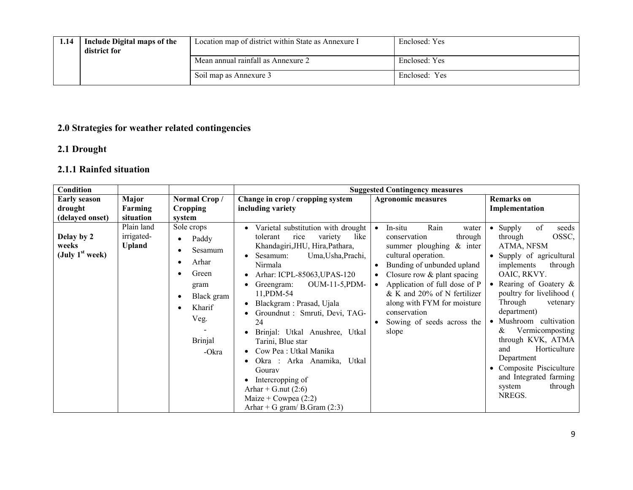| 1.14 | Include Digital maps of the<br>district for | Location map of district within State as Annexure I | Enclosed: Yes |
|------|---------------------------------------------|-----------------------------------------------------|---------------|
|      |                                             | Mean annual rainfall as Annexure 2                  | Enclosed: Yes |
|      |                                             | Soil map as Annexure 3                              | Enclosed: Yes |

#### 2.0 Strategies for weather related contingencies

### 2.1 Drought

### 2.1.1 Rainfed situation

| Condition                                |                                           |                                                                                                                     |                                                                                                                                                                                                                                                                                                                                                                                                                                                                                                                                             | <b>Suggested Contingency measures</b>                                                                                                                                                                                                                                                                                                                     |                                                                                                                                                                                                                                                                                                                                                                                                                                                             |
|------------------------------------------|-------------------------------------------|---------------------------------------------------------------------------------------------------------------------|---------------------------------------------------------------------------------------------------------------------------------------------------------------------------------------------------------------------------------------------------------------------------------------------------------------------------------------------------------------------------------------------------------------------------------------------------------------------------------------------------------------------------------------------|-----------------------------------------------------------------------------------------------------------------------------------------------------------------------------------------------------------------------------------------------------------------------------------------------------------------------------------------------------------|-------------------------------------------------------------------------------------------------------------------------------------------------------------------------------------------------------------------------------------------------------------------------------------------------------------------------------------------------------------------------------------------------------------------------------------------------------------|
| <b>Early season</b>                      | Major                                     | Normal Crop/                                                                                                        | Change in crop / cropping system                                                                                                                                                                                                                                                                                                                                                                                                                                                                                                            | <b>Agronomic measures</b>                                                                                                                                                                                                                                                                                                                                 | <b>Remarks</b> on                                                                                                                                                                                                                                                                                                                                                                                                                                           |
| drought                                  | Farming                                   | <b>Cropping</b>                                                                                                     | including variety                                                                                                                                                                                                                                                                                                                                                                                                                                                                                                                           |                                                                                                                                                                                                                                                                                                                                                           | Implementation                                                                                                                                                                                                                                                                                                                                                                                                                                              |
| (delayed onset)                          | situation                                 | system                                                                                                              |                                                                                                                                                                                                                                                                                                                                                                                                                                                                                                                                             |                                                                                                                                                                                                                                                                                                                                                           |                                                                                                                                                                                                                                                                                                                                                                                                                                                             |
| Delay by 2<br>weeks<br>(July $1st$ week) | Plain land<br>irrigated-<br><b>Upland</b> | Sole crops<br>Paddy<br>Sesamum<br>Arhar<br>Green<br>gram<br>Black gram<br>Kharif<br>Veg.<br><b>Brinjal</b><br>-Okra | Varietal substitution with drought<br>like<br>tolerant<br>variety<br>rice<br>Khandagiri, JHU, Hira, Pathara,<br>Sesamum:<br>Uma, Usha, Prachi,<br>Nirmala<br>Arhar: ICPL-85063, UPAS-120<br>OUM-11-5, PDM-<br>Greengram:<br>11, PDM-54<br>Blackgram : Prasad, Ujala<br>Groundnut: Smruti, Devi, TAG-<br>24<br>Brinjal: Utkal Anushree, Utkal<br>Tarini, Blue star<br>Cow Pea: Utkal Manika<br>Okra : Arka Anamika, Utkal<br>Gouray<br>Intercropping of<br>Arhar + G.nut $(2:6)$<br>Maize + Cowpea $(2:2)$<br>Arhar + G gram/ B.Gram $(2:3)$ | Rain<br>In-situ<br>water<br>$\bullet$<br>conservation<br>through<br>summer ploughing $\&$ inter<br>cultural operation.<br>Bunding of unbunded upland<br>Closure row $\&$ plant spacing<br>Application of full dose of P<br>$\bullet$<br>& K and 20% of N fertilizer<br>along with FYM for moisture<br>conservation<br>Sowing of seeds across the<br>slope | seeds<br>• Supply<br>of<br>OSSC,<br>through<br>ATMA, NFSM<br>Supply of agricultural<br>$\bullet$<br>implements<br>through<br>OAIC, RKVY.<br>• Rearing of Goatery &<br>poultry for livelihood (<br>Through<br>vetenary<br>department)<br>Mushroom cultivation<br>$\bullet$<br>Vermicomposting<br>&<br>through KVK, ATMA<br>Horticulture<br>and<br>Department<br>Composite Pisciculture<br>$\bullet$<br>and Integrated farming<br>system<br>through<br>NREGS. |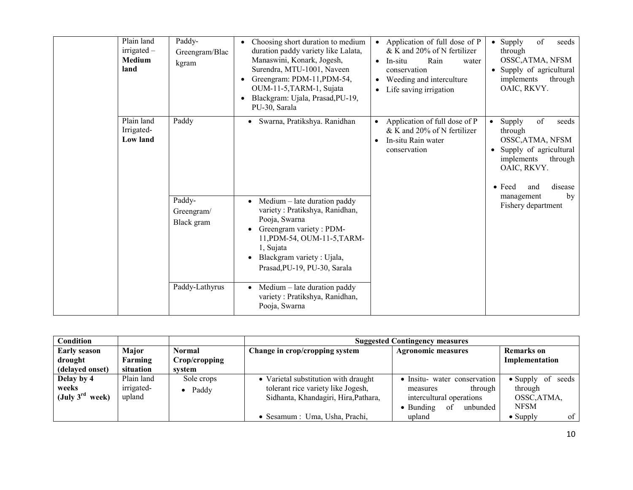| Plain land<br>$irrigated -$<br><b>Medium</b><br>land | Paddy-<br>Greengram/Blac<br>kgram                    | Choosing short duration to medium<br>duration paddy variety like Lalata,<br>Manaswini, Konark, Jogesh,<br>Surendra, MTU-1001, Naveen<br>Greengram: PDM-11, PDM-54,<br>OUM-11-5, TARM-1, Sujata<br>Blackgram: Ujala, Prasad, PU-19,<br>PU-30, Sarala                           | • Application of full dose of P<br>& K and 20% of N fertilizer<br>Rain<br>In-situ<br>water<br>$\bullet$<br>conservation<br>Weeding and interculture<br>$\bullet$<br>Life saving irrigation<br>$\bullet$ | of<br>• Supply<br>seeds<br>through<br>OSSC, ATMA, NFSM<br>• Supply of agricultural<br>implements<br>through<br>OAIC, RKVY.                                                                 |
|------------------------------------------------------|------------------------------------------------------|-------------------------------------------------------------------------------------------------------------------------------------------------------------------------------------------------------------------------------------------------------------------------------|---------------------------------------------------------------------------------------------------------------------------------------------------------------------------------------------------------|--------------------------------------------------------------------------------------------------------------------------------------------------------------------------------------------|
| Plain land<br>Irrigated-<br><b>Low land</b>          | Paddy                                                | Swarna, Pratikshya. Ranidhan                                                                                                                                                                                                                                                  | Application of full dose of P<br>& K and 20% of N fertilizer<br>In-situ Rain water<br>$\bullet$<br>conservation                                                                                         | of<br>seeds<br>Supply<br>$\bullet$<br>through<br>OSSC, ATMA, NFSM<br>Supply of agricultural<br>$\bullet$<br>implements<br>through<br>OAIC, RKVY.<br>disease<br>$\bullet$ Feed<br>and<br>by |
|                                                      | Paddy-<br>Greengram/<br>Black gram<br>Paddy-Lathyrus | Medium – late duration paddy<br>variety: Pratikshya, Ranidhan,<br>Pooja, Swarna<br>Greengram variety: PDM-<br>11, PDM-54, OUM-11-5, TARM-<br>1, Sujata<br>Blackgram variety: Ujala,<br>$\bullet$<br>Prasad, PU-19, PU-30, Sarala<br>Medium – late duration paddy<br>$\bullet$ |                                                                                                                                                                                                         | management<br>Fishery department                                                                                                                                                           |
|                                                      |                                                      | variety: Pratikshya, Ranidhan,<br>Pooja, Swarna                                                                                                                                                                                                                               |                                                                                                                                                                                                         |                                                                                                                                                                                            |

| Condition                   |                   |                    | <b>Suggested Contingency measures</b> |                                     |                              |  |
|-----------------------------|-------------------|--------------------|---------------------------------------|-------------------------------------|------------------------------|--|
| <b>Early season</b>         | Major             | Normal             | Change in crop/cropping system        | <b>Agronomic measures</b>           | <b>Remarks</b> on            |  |
| drought                     | Farming           | Crop/cropping      |                                       |                                     | Implementation               |  |
| (delayed onset)             | situation         | svstem             |                                       |                                     |                              |  |
| Delay by 4                  | Plain land        | Sole crops         | • Varietal substitution with draught  | • Insitu- water conservation        | of seeds<br>$\bullet$ Supply |  |
| weeks                       | <i>irrigated-</i> | Paddy<br>$\bullet$ | tolerant rice variety like Jogesh,    | through<br>measures                 | through                      |  |
| (July $3^{\text{rd}}$ week) | upland            |                    | Sidhanta, Khandagiri, Hira, Pathara,  | intercultural operations            | OSSC, ATMA,                  |  |
|                             |                   |                    |                                       | of<br>$\bullet$ Bunding<br>unbunded | <b>NFSM</b>                  |  |
|                             |                   |                    | • Sesamum : Uma, Usha, Prachi,        | upland                              | of<br>$\bullet$ Supply       |  |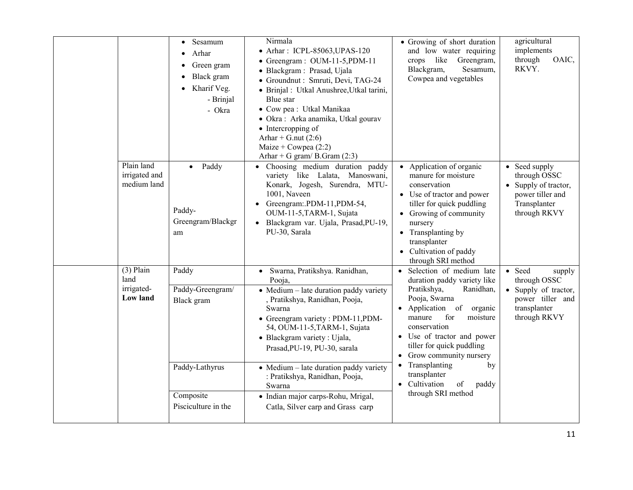|      |                                            | Sesamum<br>$\bullet$<br>Arhar<br>$\bullet$<br>Green gram<br>Black gram<br>Kharif Veg.<br>$\bullet$<br>- Brinjal<br>- Okra | Nirmala<br>• Arhar: ICPL-85063, UPAS-120<br>• Greengram: OUM-11-5, PDM-11<br>· Blackgram: Prasad, Ujala<br>· Groundnut : Smruti, Devi, TAG-24<br>· Brinjal : Utkal Anushree, Utkal tarini,<br>Blue star<br>• Cow pea : Utkal Manikaa<br>· Okra: Arka anamika, Utkal gourav<br>$\bullet$ Intercropping of<br>Arhar + G.nut $(2:6)$<br>Maize + Cowpea $(2:2)$<br>Arhar + G gram/ B.Gram $(2:3)$                                                            | • Growing of short duration<br>and low water requiring<br>like<br>Greengram,<br>crops<br>Blackgram,<br>Sesamum,<br>Cowpea and vegetables                                                                                                                                                                                                                                                  | agricultural<br>implements<br>through<br>OAIC,<br>RKVY.                                                      |
|------|--------------------------------------------|---------------------------------------------------------------------------------------------------------------------------|----------------------------------------------------------------------------------------------------------------------------------------------------------------------------------------------------------------------------------------------------------------------------------------------------------------------------------------------------------------------------------------------------------------------------------------------------------|-------------------------------------------------------------------------------------------------------------------------------------------------------------------------------------------------------------------------------------------------------------------------------------------------------------------------------------------------------------------------------------------|--------------------------------------------------------------------------------------------------------------|
|      | Plain land<br>irrigated and<br>medium land | Paddy<br>$\bullet$<br>Paddy-<br>Greengram/Blackgr<br>am                                                                   | • Choosing medium duration paddy<br>variety like Lalata, Manoswani,<br>Konark, Jogesh, Surendra, MTU-<br>1001, Naveen<br>• Greengram: PDM-11, PDM-54,<br>OUM-11-5, TARM-1, Sujata<br>· Blackgram var. Ujala, Prasad, PU-19,<br>PU-30, Sarala                                                                                                                                                                                                             | • Application of organic<br>manure for moisture<br>conservation<br>• Use of tractor and power<br>tiller for quick puddling<br>• Growing of community<br>nursery<br>• Transplanting by<br>transplanter<br>• Cultivation of paddy<br>through SRI method                                                                                                                                     | • Seed supply<br>through OSSC<br>• Supply of tractor,<br>power tiller and<br>Transplanter<br>through RKVY    |
| land | $(3)$ Plain<br>irrigated-<br>Low land      | Paddy<br>Paddy-Greengram/<br>Black gram<br>Paddy-Lathyrus<br>Composite<br>Pisciculture in the                             | Swarna, Pratikshya. Ranidhan,<br>$\bullet$<br>Pooja,<br>$\bullet$ Medium – late duration paddy variety<br>, Pratikshya, Ranidhan, Pooja,<br>Swarna<br>• Greengram variety: PDM-11, PDM-<br>54, OUM-11-5, TARM-1, Sujata<br>• Blackgram variety : Ujala,<br>Prasad, PU-19, PU-30, sarala<br>• Medium - late duration paddy variety<br>: Pratikshya, Ranidhan, Pooja,<br>Swarna<br>· Indian major carps-Rohu, Mrigal,<br>Catla, Silver carp and Grass carp | Selection of medium late<br>duration paddy variety like<br>Pratikshya,<br>Ranidhan,<br>Pooja, Swarna<br>$\bullet$ Application of<br>organic<br>manure<br>for<br>moisture<br>conservation<br>• Use of tractor and power<br>tiller for quick puddling<br>• Grow community nursery<br>Transplanting<br>by<br>$\bullet$<br>transplanter<br>• Cultivation<br>of<br>paddy<br>through SRI method | • Seed<br>supply<br>through OSSC<br>• Supply of tractor,<br>power tiller and<br>transplanter<br>through RKVY |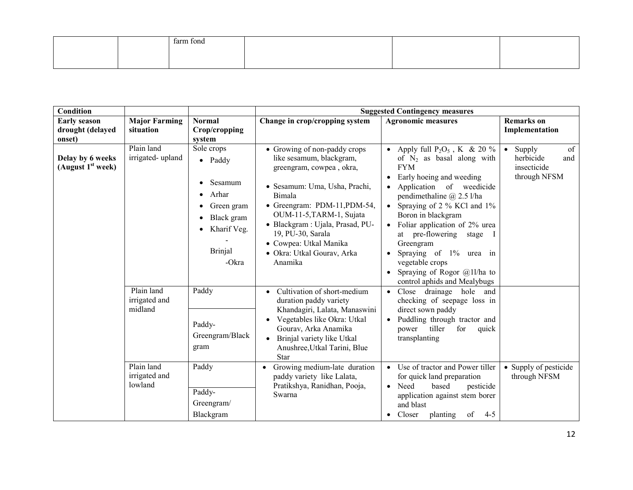|  | farm fond |  |  |
|--|-----------|--|--|
|  |           |  |  |
|  |           |  |  |

| <b>Condition</b>                                  |                                        |                                                                                                                                                                                          |                                                                                                                                                                                                                                                                                                                         | <b>Suggested Contingency measures</b>                                                                                                                                                                                                                                                                                                                                                                                                                        |                                                                              |
|---------------------------------------------------|----------------------------------------|------------------------------------------------------------------------------------------------------------------------------------------------------------------------------------------|-------------------------------------------------------------------------------------------------------------------------------------------------------------------------------------------------------------------------------------------------------------------------------------------------------------------------|--------------------------------------------------------------------------------------------------------------------------------------------------------------------------------------------------------------------------------------------------------------------------------------------------------------------------------------------------------------------------------------------------------------------------------------------------------------|------------------------------------------------------------------------------|
| <b>Early season</b><br>drought (delayed<br>onset) | <b>Major Farming</b><br>situation      | <b>Normal</b><br>Crop/cropping<br>system                                                                                                                                                 | Change in crop/cropping system                                                                                                                                                                                                                                                                                          | <b>Agronomic measures</b>                                                                                                                                                                                                                                                                                                                                                                                                                                    | <b>Remarks</b> on<br>Implementation                                          |
| Delay by 6 weeks<br>(August $1st$ week)           | Plain land<br>irrigated-upland         | Sole crops<br>$\bullet$ Paddy<br>Sesamum<br>$\bullet$<br>Arhar<br>$\bullet$<br>Green gram<br>$\bullet$<br>Black gram<br>$\bullet$<br>Kharif Veg.<br>$\bullet$<br><b>Brinjal</b><br>-Okra | • Growing of non-paddy crops<br>like sesamum, blackgram,<br>greengram, cowpea, okra,<br>· Sesamum: Uma, Usha, Prachi,<br>Bimala<br>• Greengram: PDM-11, PDM-54,<br>OUM-11-5, TARM-1, Sujata<br>· Blackgram : Ujala, Prasad, PU-<br>19, PU-30, Sarala<br>• Cowpea: Utkal Manika<br>· Okra: Utkal Gourav, Arka<br>Anamika | Apply full $P_2O_5$ , K & 20 %<br>of $N_2$ as basal along with<br><b>FYM</b><br>Early hoeing and weeding<br>$\bullet$<br>Application of weedicide<br>pendimethaline $\omega$ 2.5 l/ha<br>Spraying of 2 % KCl and 1%<br>Boron in blackgram<br>Foliar application of 2% urea<br>$\bullet$<br>at pre-flowering<br>stage<br>Greengram<br>Spraying of 1% urea in<br>$\bullet$<br>vegetable crops<br>Spraying of Rogor $@11/ha$ to<br>control aphids and Mealybugs | of<br>Supply<br>$\bullet$<br>herbicide<br>and<br>insecticide<br>through NFSM |
|                                                   | Plain land<br>irrigated and<br>midland | Paddy<br>Paddy-<br>Greengram/Black<br>gram                                                                                                                                               | Cultivation of short-medium<br>$\bullet$<br>duration paddy variety<br>Khandagiri, Lalata, Manaswini<br>Vegetables like Okra: Utkal<br>Gourav, Arka Anamika<br>Brinjal variety like Utkal<br>$\bullet$<br>Anushree, Utkal Tarini, Blue<br>Star                                                                           | drainage<br>hole<br>Close<br>and<br>$\bullet$<br>checking of seepage loss in<br>direct sown paddy<br>Puddling through tractor and<br>power<br>tiller<br>for<br>quick<br>transplanting                                                                                                                                                                                                                                                                        |                                                                              |
|                                                   | Plain land<br>irrigated and<br>lowland | Paddy<br>Paddy-<br>Greengram/<br>Blackgram                                                                                                                                               | Growing medium-late duration<br>paddy variety like Lalata,<br>Pratikshya, Ranidhan, Pooja,<br>Swarna                                                                                                                                                                                                                    | Use of tractor and Power tiller<br>$\bullet$<br>for quick land preparation<br>Need<br>based<br>pesticide<br>$\bullet$<br>application against stem borer<br>and blast<br>of<br>Closer<br>planting<br>$4 - 5$<br>$\bullet$                                                                                                                                                                                                                                     | • Supply of pesticide<br>through NFSM                                        |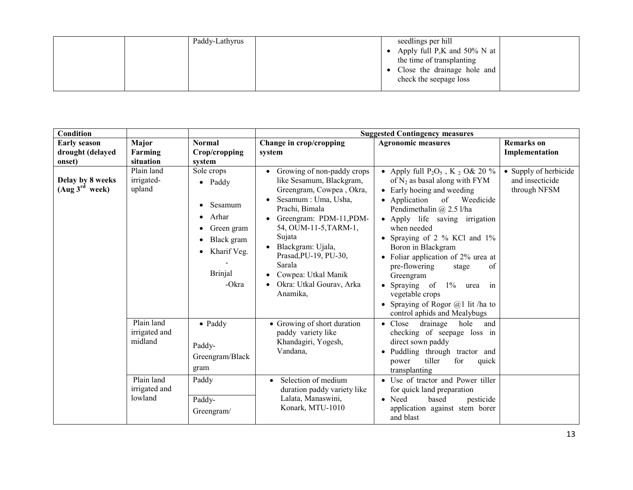| Paddy-Lathyrus | seedlings per hill               |
|----------------|----------------------------------|
|                | • Apply full P,K and $50\%$ N at |
|                | the time of transplanting        |
|                | Close the drainage hole and      |
|                | check the seepage loss           |
|                |                                  |

| <b>Condition</b>                               |                                                                                                |                                                                                                                                                                |                                                                                                                                                                                                                                                                                                                                                                      | <b>Suggested Contingency measures</b>                                                                                                                                                                                                                                                                                                                                                                                                                                                             |                                                          |
|------------------------------------------------|------------------------------------------------------------------------------------------------|----------------------------------------------------------------------------------------------------------------------------------------------------------------|----------------------------------------------------------------------------------------------------------------------------------------------------------------------------------------------------------------------------------------------------------------------------------------------------------------------------------------------------------------------|---------------------------------------------------------------------------------------------------------------------------------------------------------------------------------------------------------------------------------------------------------------------------------------------------------------------------------------------------------------------------------------------------------------------------------------------------------------------------------------------------|----------------------------------------------------------|
| <b>Early season</b>                            | Major                                                                                          | <b>Normal</b>                                                                                                                                                  | Change in crop/cropping                                                                                                                                                                                                                                                                                                                                              | <b>Agronomic measures</b>                                                                                                                                                                                                                                                                                                                                                                                                                                                                         | <b>Remarks</b> on                                        |
| drought (delayed<br>onset)                     | Farming<br>situation                                                                           | Crop/cropping<br>system                                                                                                                                        | system                                                                                                                                                                                                                                                                                                                                                               |                                                                                                                                                                                                                                                                                                                                                                                                                                                                                                   | Implementation                                           |
| Delay by 8 weeks<br>(Aug 3 <sup>rd</sup> week) | Plain land<br>irrigated-<br>upland                                                             | Sole crops<br>$\bullet$ Paddy<br>Sesamum<br>Arhar<br>$\bullet$<br>Green gram<br>Black gram<br>$\bullet$<br>Kharif Veg.<br>$\bullet$<br><b>Brinjal</b><br>-Okra | Growing of non-paddy crops<br>$\bullet$<br>like Sesamum, Blackgram,<br>Greengram, Cowpea, Okra,<br>Sesamum : Uma, Usha,<br>$\bullet$<br>Prachi, Bimala<br>Greengram: PDM-11,PDM-<br>54, OUM-11-5, TARM-1,<br>Sujata<br>Blackgram: Ujala,<br>$\bullet$<br>Prasad, PU-19, PU-30,<br>Sarala<br>Cowpea: Utkal Manik<br>$\bullet$<br>Okra: Utkal Gourav, Arka<br>Anamika, | • Apply full $P_2O_5$ , K $_2$ O& 20 %<br>of $N_2$ as basal along with FYM<br>• Early hoeing and weeding<br>• Application<br>Weedicide<br>of<br>Pendimethalin @ 2.5 l/ha<br>• Apply life saving irrigation<br>when needed<br>• Spraying of 2 % KCl and 1%<br>Boron in Blackgram<br>• Foliar application of 2% urea at<br>pre-flowering<br>of<br>stage<br>Greengram<br>• Spraying of<br>$1\%$ urea<br>in<br>vegetable crops<br>• Spraying of Rogor $@1$ lit /ha to<br>control aphids and Mealybugs | • Supply of herbicide<br>and insecticide<br>through NFSM |
|                                                | Plain land<br>irrigated and<br>midland<br>$\overline{Pl}$ ain land<br>irrigated and<br>lowland | $\bullet$ Paddy<br>Paddy-<br>Greengram/Black<br>gram<br>Paddy<br>Paddy-<br>Greengram/                                                                          | • Growing of short duration<br>paddy variety like<br>Khandagiri, Yogesh,<br>Vandana,<br>Selection of medium<br>$\bullet$<br>duration paddy variety like<br>Lalata, Manaswini,<br>Konark, MTU-1010                                                                                                                                                                    | • Close<br>drainage<br>hole<br>and<br>checking of seepage loss in<br>direct sown paddy<br>· Puddling through tractor and<br>tiller<br>for<br>power<br>quick<br>transplanting<br>• Use of tractor and Power tiller<br>for quick land preparation<br>• Need<br>based<br>pesticide<br>application against stem borer<br>and blast                                                                                                                                                                    |                                                          |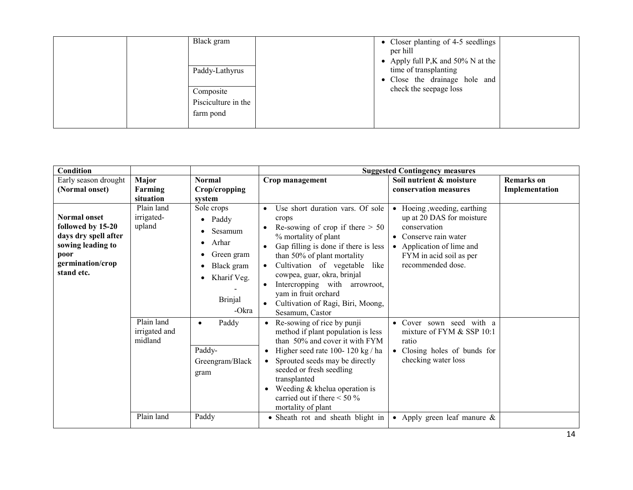| Black gram<br>Paddy-Lathyrus<br>Composite<br>Pisciculture in the<br>farm pond | • Closer planting of 4-5 seedlings<br>per hill<br>• Apply full P,K and $50\%$ N at the<br>time of transplanting<br>• Close the drainage hole and<br>check the seepage loss |
|-------------------------------------------------------------------------------|----------------------------------------------------------------------------------------------------------------------------------------------------------------------------|
|-------------------------------------------------------------------------------|----------------------------------------------------------------------------------------------------------------------------------------------------------------------------|

| <b>Condition</b>                                                                                                                |                                                                              |                                                                                                                                                                                                    | <b>Suggested Contingency measures</b>                                                                                                                                                                                                                                                                                                                                                                                                                                                                                                                                                                                                                                                                                                       |                                                                                                                                                                                                                                                                                                                    |                   |  |
|---------------------------------------------------------------------------------------------------------------------------------|------------------------------------------------------------------------------|----------------------------------------------------------------------------------------------------------------------------------------------------------------------------------------------------|---------------------------------------------------------------------------------------------------------------------------------------------------------------------------------------------------------------------------------------------------------------------------------------------------------------------------------------------------------------------------------------------------------------------------------------------------------------------------------------------------------------------------------------------------------------------------------------------------------------------------------------------------------------------------------------------------------------------------------------------|--------------------------------------------------------------------------------------------------------------------------------------------------------------------------------------------------------------------------------------------------------------------------------------------------------------------|-------------------|--|
| Early season drought                                                                                                            | Major                                                                        | <b>Normal</b>                                                                                                                                                                                      | Crop management                                                                                                                                                                                                                                                                                                                                                                                                                                                                                                                                                                                                                                                                                                                             | Soil nutrient & moisture                                                                                                                                                                                                                                                                                           | <b>Remarks</b> on |  |
| (Normal onset)                                                                                                                  | Farming                                                                      | Crop/cropping                                                                                                                                                                                      |                                                                                                                                                                                                                                                                                                                                                                                                                                                                                                                                                                                                                                                                                                                                             | conservation measures                                                                                                                                                                                                                                                                                              | Implementation    |  |
|                                                                                                                                 | situation                                                                    | system                                                                                                                                                                                             |                                                                                                                                                                                                                                                                                                                                                                                                                                                                                                                                                                                                                                                                                                                                             |                                                                                                                                                                                                                                                                                                                    |                   |  |
| <b>Normal onset</b><br>followed by 15-20<br>days dry spell after<br>sowing leading to<br>poor<br>germination/crop<br>stand etc. | Plain land<br>irrigated-<br>upland<br>Plain land<br>irrigated and<br>midland | Sole crops<br>Paddy<br>$\bullet$<br>Sesamum<br>Arhar<br>$\bullet$<br>Green gram<br>Black gram<br>Kharif Veg.<br><b>Brinjal</b><br>-Okra<br>Paddy<br>$\bullet$<br>Paddy-<br>Greengram/Black<br>gram | Use short duration vars. Of sole<br>crops<br>Re-sowing of crop if there $> 50$<br>% mortality of plant<br>Gap filling is done if there is less<br>$\bullet$<br>than 50% of plant mortality<br>Cultivation of vegetable like<br>$\bullet$<br>cowpea, guar, okra, brinjal<br>Intercropping with arrowroot,<br>yam in fruit orchard<br>Cultivation of Ragi, Biri, Moong,<br>$\bullet$<br>Sesamum, Castor<br>Re-sowing of rice by punji<br>$\bullet$<br>method if plant population is less<br>than 50% and cover it with FYM<br>Higher seed rate 100-120 kg / ha<br>Sprouted seeds may be directly<br>$\bullet$<br>seeded or fresh seedling<br>transplanted<br>Weeding $&$ khelua operation is<br>$\bullet$<br>carried out if there $\leq 50\%$ | Hoeing, weeding, earthing<br>$\bullet$<br>up at 20 DAS for moisture<br>conservation<br>• Conserve rain water<br>• Application of lime and<br>FYM in acid soil as per<br>recommended dose.<br>· Cover sown seed with a<br>mixture of FYM & SSP 10:1<br>ratio<br>• Closing holes of bunds for<br>checking water loss |                   |  |
|                                                                                                                                 | Plain land                                                                   | Paddy                                                                                                                                                                                              | mortality of plant<br>• Sheath rot and sheath blight in                                                                                                                                                                                                                                                                                                                                                                                                                                                                                                                                                                                                                                                                                     | • Apply green leaf manure $\&$                                                                                                                                                                                                                                                                                     |                   |  |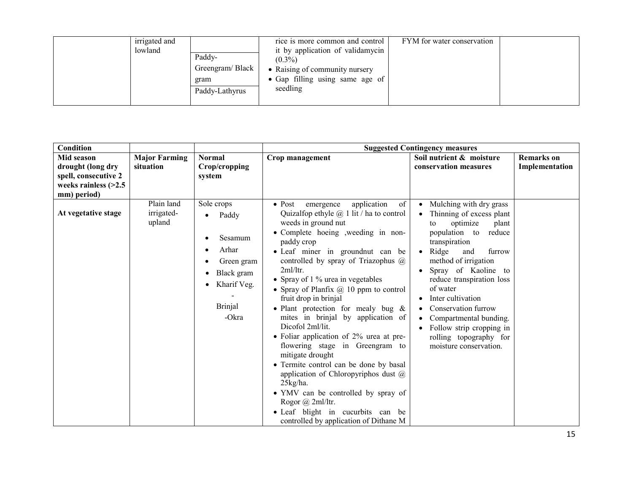| irrigated and<br>lowland<br>Paddy-<br>Greengram/Black<br>gram<br>Paddy-Lathyrus | rice is more common and control<br>it by application of validamycin<br>$(0.3\%)$<br>• Raising of community nursery<br>• Gap filling using same age of<br>seedling | FYM for water conservation |  |
|---------------------------------------------------------------------------------|-------------------------------------------------------------------------------------------------------------------------------------------------------------------|----------------------------|--|
|---------------------------------------------------------------------------------|-------------------------------------------------------------------------------------------------------------------------------------------------------------------|----------------------------|--|

| Condition                                                     |                                    |                                                                                                               | <b>Suggested Contingency measures</b>                                                                                                                                                                                                                                                                                                                                                                                                                                                                                                                                                                                                                                                                                                                                                                                                  |                                                                                                                                                                                                                                                                                                                                                                                                                                           |                                     |  |
|---------------------------------------------------------------|------------------------------------|---------------------------------------------------------------------------------------------------------------|----------------------------------------------------------------------------------------------------------------------------------------------------------------------------------------------------------------------------------------------------------------------------------------------------------------------------------------------------------------------------------------------------------------------------------------------------------------------------------------------------------------------------------------------------------------------------------------------------------------------------------------------------------------------------------------------------------------------------------------------------------------------------------------------------------------------------------------|-------------------------------------------------------------------------------------------------------------------------------------------------------------------------------------------------------------------------------------------------------------------------------------------------------------------------------------------------------------------------------------------------------------------------------------------|-------------------------------------|--|
| Mid season<br>drought (long dry                               | <b>Major Farming</b><br>situation  | <b>Normal</b><br>Crop/cropping                                                                                | Crop management                                                                                                                                                                                                                                                                                                                                                                                                                                                                                                                                                                                                                                                                                                                                                                                                                        | Soil nutrient & moisture<br>conservation measures                                                                                                                                                                                                                                                                                                                                                                                         | <b>Remarks</b> on<br>Implementation |  |
| spell, consecutive 2<br>weeks rainless $(>2.5$<br>mm) period) |                                    | system                                                                                                        |                                                                                                                                                                                                                                                                                                                                                                                                                                                                                                                                                                                                                                                                                                                                                                                                                                        |                                                                                                                                                                                                                                                                                                                                                                                                                                           |                                     |  |
| At vegetative stage                                           | Plain land<br>irrigated-<br>upland | Sole crops<br>Paddy<br>Sesamum<br>Arhar<br>Green gram<br>Black gram<br>Kharif Veg.<br><b>Brinjal</b><br>-Okra | application<br>of<br>$\bullet$ Post<br>emergence<br>Quizalfop ethyle $\omega$ 1 lit / ha to control<br>weeds in ground nut<br>• Complete hoeing , weeding in non-<br>paddy crop<br>• Leaf miner in groundnut can be<br>controlled by spray of Triazophus $(a)$<br>2ml/ltr.<br>• Spray of 1 % urea in vegetables<br>• Spray of Planfix $@$ 10 ppm to control<br>fruit drop in brinjal<br>• Plant protection for mealy bug $\&$<br>mites in brinjal by application of<br>Dicofol 2ml/lit.<br>• Foliar application of $2\%$ urea at pre-<br>flowering stage in Greengram to<br>mitigate drought<br>• Termite control can be done by basal<br>application of Chloropyriphos dust $@$<br>25kg/ha.<br>• YMV can be controlled by spray of<br>Rogor @ 2ml/ltr.<br>• Leaf blight in cucurbits can be<br>controlled by application of Dithane M | Mulching with dry grass<br>$\bullet$<br>Thinning of excess plant<br>optimize<br>plant<br>to<br>population to<br>reduce<br>transpiration<br>Ridge<br>furrow<br>and<br>$\bullet$<br>method of irrigation<br>Spray of Kaoline to<br>$\bullet$<br>reduce transpiration loss<br>of water<br>Inter cultivation<br>Conservation furrow<br>Compartmental bunding.<br>Follow strip cropping in<br>rolling topography for<br>moisture conservation. |                                     |  |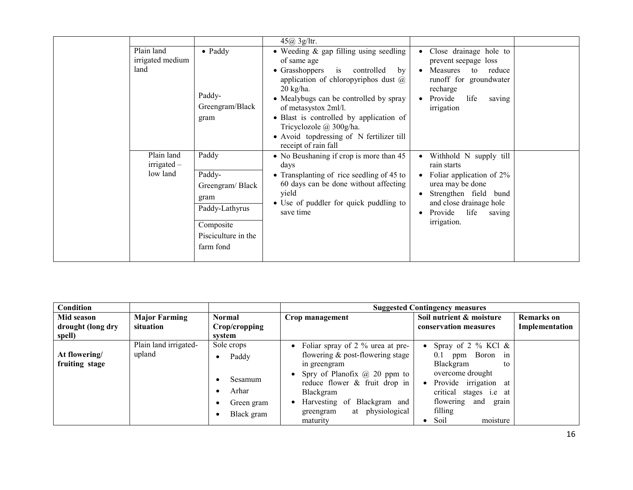|                                         |                                                                                                               | 45@3g/ltr.                                                                                                                                                                                                                                                                                                                                                                                   |                                                                                                                                                                                                                        |  |
|-----------------------------------------|---------------------------------------------------------------------------------------------------------------|----------------------------------------------------------------------------------------------------------------------------------------------------------------------------------------------------------------------------------------------------------------------------------------------------------------------------------------------------------------------------------------------|------------------------------------------------------------------------------------------------------------------------------------------------------------------------------------------------------------------------|--|
| Plain land<br>irrigated medium<br>land  | $\bullet$ Paddy<br>Paddy-<br>Greengram/Black<br>gram                                                          | • Weeding $\&$ gap filling using seedling<br>of same age<br>$\bullet$ Grasshoppers<br>is controlled<br>by<br>application of chloropyriphos dust $\omega$<br>$20 \text{ kg/ha}$ .<br>• Mealybugs can be controlled by spray<br>of metasystox 2ml/l.<br>• Blast is controlled by application of<br>Tricyclozole @ 300g/ha.<br>• Avoid topdressing of N fertilizer till<br>receipt of rain fall | Close drainage hole to<br>$\bullet$<br>prevent seepage loss<br>Measures<br>to reduce<br>$\bullet$<br>runoff for groundwater<br>recharge<br>life<br>$\bullet$ Provide<br>saving<br>irrigation                           |  |
| Plain land<br>$irrigated -$<br>low land | Paddy<br>Paddy-<br>Greengram/Black<br>gram<br>Paddy-Lathyrus<br>Composite<br>Pisciculture in the<br>farm fond | • No Beushaning if crop is more than 45<br>days<br>• Transplanting of rice seedling of 45 to<br>60 days can be done without affecting<br>yield<br>• Use of puddler for quick puddling to<br>save time                                                                                                                                                                                        | • Withhold N supply till<br>rain starts<br>Foliar application of 2%<br>$\bullet$<br>urea may be done<br>Strengthen field bund<br>$\bullet$<br>and close drainage hole<br>Provide<br>life<br>saving<br>٠<br>irrigation. |  |

| <b>Condition</b>                |                                 |                                                                    |                                                                                                                                                                                                                                                        | <b>Suggested Contingency measures</b>                                                                                                                                                    |                   |
|---------------------------------|---------------------------------|--------------------------------------------------------------------|--------------------------------------------------------------------------------------------------------------------------------------------------------------------------------------------------------------------------------------------------------|------------------------------------------------------------------------------------------------------------------------------------------------------------------------------------------|-------------------|
| Mid season                      | <b>Major Farming</b>            | <b>Normal</b>                                                      | Crop management                                                                                                                                                                                                                                        | Soil nutrient & moisture                                                                                                                                                                 | <b>Remarks</b> on |
| drought (long dry               | situation                       | Crop/cropping                                                      |                                                                                                                                                                                                                                                        | conservation measures                                                                                                                                                                    | Implementation    |
| spell)                          |                                 | system                                                             |                                                                                                                                                                                                                                                        |                                                                                                                                                                                          |                   |
| At flowering/<br>fruiting stage | Plain land irrigated-<br>upland | Sole crops<br>Paddy<br>$\bullet$<br>Sesamum<br>Arhar<br>Green gram | • Foliar spray of $2\%$ urea at pre-<br>flowering $\&$ post-flowering stage<br>in greengram<br>Spry of Planofix $\omega$ 20 ppm to<br>reduce flower & fruit drop in<br>Blackgram<br>Harvesting of<br>Blackgram and<br>physiological<br>at<br>greengram | Spray of 2 % KCl $\&$<br>ppm Boron in<br>0.1<br>Blackgram<br>to<br>overcome drought<br>Provide irrigation at<br>critical<br>stages <i>i.e</i> at<br>flowering<br>and<br>grain<br>filling |                   |
|                                 |                                 | Black gram                                                         | maturity                                                                                                                                                                                                                                               | Soil<br>moisture                                                                                                                                                                         |                   |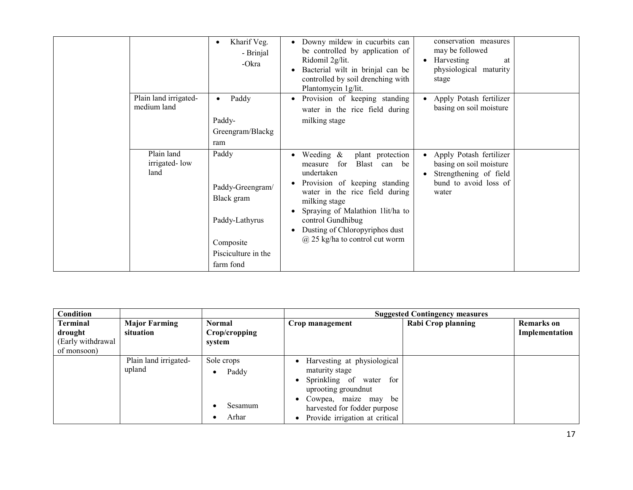|                                      | Kharif Veg.<br>$\bullet$<br>- Brinjal<br>-Okra                                                             |           | Downy mildew in cucurbits can<br>be controlled by application of<br>Ridomil 2g/lit.<br>Bacterial wilt in brinjal can be<br>controlled by soil drenching with<br>Plantomycin 1g/lit.                                                                                                                      | conservation measures<br>may be followed<br>Harvesting<br>at<br>physiological maturity<br>stage                |  |
|--------------------------------------|------------------------------------------------------------------------------------------------------------|-----------|----------------------------------------------------------------------------------------------------------------------------------------------------------------------------------------------------------------------------------------------------------------------------------------------------------|----------------------------------------------------------------------------------------------------------------|--|
| Plain land irrigated-<br>medium land | Paddy<br>$\bullet$<br>Paddy-<br>Greengram/Blackg<br>ram                                                    | $\bullet$ | Provision of keeping standing<br>water in the rice field during<br>milking stage                                                                                                                                                                                                                         | Apply Potash fertilizer<br>basing on soil moisture                                                             |  |
| Plain land<br>irrigated-low<br>land  | Paddy<br>Paddy-Greengram/<br>Black gram<br>Paddy-Lathyrus<br>Composite<br>Pisciculture in the<br>farm fond |           | Weeding $\&$<br>plant protection<br>for<br>Blast can be<br>measure<br>undertaken<br>Provision of keeping standing<br>water in the rice field during<br>milking stage<br>Spraying of Malathion 1lit/ha to<br>control Gundhibug<br>Dusting of Chloropyriphos dust<br>$\omega$ 25 kg/ha to control cut worm | Apply Potash fertilizer<br>basing on soil moisture<br>Strengthening of field<br>bund to avoid loss of<br>water |  |

| <b>Condition</b>                                        |                                   |                                          |                                                                                                                                                                                                       | <b>Suggested Contingency measures</b> |                                     |
|---------------------------------------------------------|-----------------------------------|------------------------------------------|-------------------------------------------------------------------------------------------------------------------------------------------------------------------------------------------------------|---------------------------------------|-------------------------------------|
| Terminal<br>drought<br>(Early withdrawal<br>of monsoon) | <b>Major Farming</b><br>situation | <b>Normal</b><br>Crop/cropping<br>system | Crop management                                                                                                                                                                                       | Rabi Crop planning                    | <b>Remarks</b> on<br>Implementation |
|                                                         | Plain land irrigated-<br>upland   | Sole crops<br>Paddy<br>Sesamum<br>Arhar  | • Harvesting at physiological<br>maturity stage<br>• Sprinkling of water for<br>uprooting ground nut<br>• Cowpea, maize may<br>be<br>harvested for fodder purpose<br>• Provide irrigation at critical |                                       |                                     |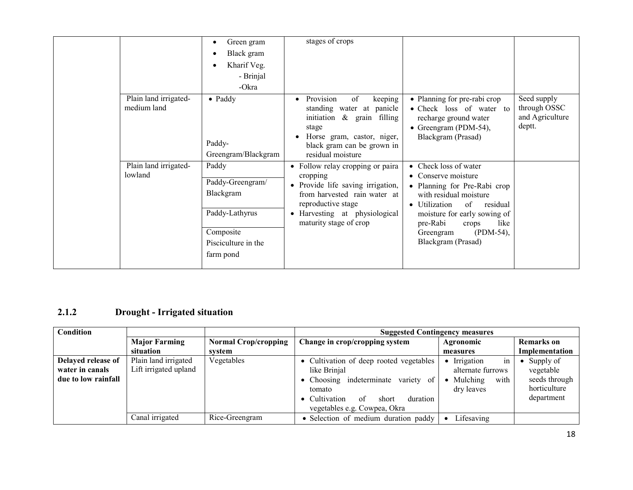|                                      | Green gram<br>Black gram<br>Kharif Veg.<br>- Brinjal<br>-Okra                                             | stages of crops                                                                                                                                                                                    |                                                                                                                                                                                                                                                           |                                                          |
|--------------------------------------|-----------------------------------------------------------------------------------------------------------|----------------------------------------------------------------------------------------------------------------------------------------------------------------------------------------------------|-----------------------------------------------------------------------------------------------------------------------------------------------------------------------------------------------------------------------------------------------------------|----------------------------------------------------------|
| Plain land irrigated-<br>medium land | $\bullet$ Paddy<br>Paddy-<br>Greengram/Blackgram                                                          | Provision<br>keeping<br>of<br>standing water at panicle<br>initiation $\&$ grain filling<br>stage<br>Horse gram, castor, niger,<br>black gram can be grown in<br>residual moisture                 | • Planning for pre-rabi crop<br>• Check loss of water to<br>recharge ground water<br>• Greengram (PDM-54),<br>Blackgram (Prasad)                                                                                                                          | Seed supply<br>through OSSC<br>and Agriculture<br>deptt. |
| Plain land irrigated-<br>lowland     | Paddy<br>Paddy-Greengram/<br>Blackgram<br>Paddy-Lathyrus<br>Composite<br>Pisciculture in the<br>farm pond | • Follow relay cropping or paira<br>cropping<br>• Provide life saving irrigation,<br>from harvested rain water at<br>reproductive stage<br>• Harvesting at physiological<br>maturity stage of crop | • Check loss of water<br>• Conserve moisture<br>• Planning for Pre-Rabi crop<br>with residual moisture<br>• Utilization<br>of<br>residual<br>moisture for early sowing of<br>pre-Rabi<br>like<br>crops<br>$(PDM-54)$ ,<br>Greengram<br>Blackgram (Prasad) |                                                          |

#### 2.1.2 Drought - Irrigated situation

| Condition                                                    |                                               |                             | <b>Suggested Contingency measures</b>                                                                                                                                                |                                                                                     |                                                                       |  |
|--------------------------------------------------------------|-----------------------------------------------|-----------------------------|--------------------------------------------------------------------------------------------------------------------------------------------------------------------------------------|-------------------------------------------------------------------------------------|-----------------------------------------------------------------------|--|
|                                                              | <b>Major Farming</b>                          | <b>Normal Crop/cropping</b> | Change in crop/cropping system                                                                                                                                                       | Agronomic                                                                           | <b>Remarks</b> on                                                     |  |
|                                                              | situation                                     | system                      |                                                                                                                                                                                      | measures                                                                            | Implementation                                                        |  |
| Delayed release of<br>water in canals<br>due to low rainfall | Plain land irrigated<br>Lift irrigated upland | Vegetables                  | • Cultivation of deep rooted vegetables<br>like Brinjal<br>• Choosing indeterminate variety of<br>tomato<br>• Cultivation<br>of<br>duration<br>short<br>vegetables e.g. Cowpea, Okra | in<br>• Irrigation<br>alternate furrows<br>with<br>$\bullet$ Mulching<br>dry leaves | Supply of<br>vegetable<br>seeds through<br>horticulture<br>department |  |
|                                                              | Canal irrigated                               | Rice-Greengram              | • Selection of medium duration paddy                                                                                                                                                 | Lifesaving                                                                          |                                                                       |  |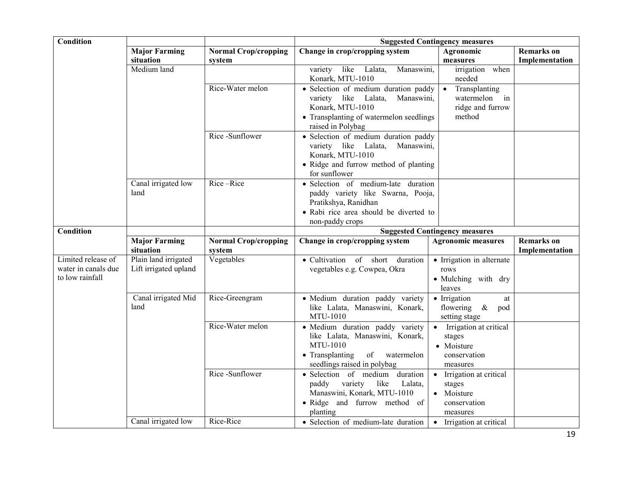| Condition                                                    |                                               |                                       |                                                                                                                                                                   | <b>Suggested Contingency measures</b>                                                             |                                     |
|--------------------------------------------------------------|-----------------------------------------------|---------------------------------------|-------------------------------------------------------------------------------------------------------------------------------------------------------------------|---------------------------------------------------------------------------------------------------|-------------------------------------|
|                                                              | <b>Major Farming</b>                          | <b>Normal Crop/cropping</b>           | Change in crop/cropping system                                                                                                                                    | Agronomic                                                                                         | <b>Remarks</b> on                   |
|                                                              | situation                                     | system                                |                                                                                                                                                                   | measures                                                                                          | Implementation                      |
|                                                              | Medium land                                   |                                       | like<br>Lalata,<br>variety<br>Manaswini,<br>Konark, MTU-1010                                                                                                      | irrigation when<br>needed                                                                         |                                     |
|                                                              |                                               | Rice-Water melon                      | · Selection of medium duration paddy<br>variety like<br>Lalata,<br>Manaswini,<br>Konark, MTU-1010<br>• Transplanting of watermelon seedlings<br>raised in Polybag | Transplanting<br>$\bullet$<br>watermelon<br>$\overline{\mathbf{m}}$<br>ridge and furrow<br>method |                                     |
|                                                              |                                               | Rice -Sunflower                       | • Selection of medium duration paddy<br>variety like Lalata,<br>Manaswini,<br>Konark, MTU-1010<br>• Ridge and furrow method of planting<br>for sunflower          |                                                                                                   |                                     |
|                                                              | Canal irrigated low<br>land                   | Rice-Rice                             | · Selection of medium-late duration<br>paddy variety like Swarna, Pooja,<br>Pratikshya, Ranidhan<br>• Rabi rice area should be diverted to<br>non-paddy crops     |                                                                                                   |                                     |
| Condition                                                    |                                               |                                       |                                                                                                                                                                   | <b>Suggested Contingency measures</b>                                                             |                                     |
|                                                              | <b>Major Farming</b><br>situation             | <b>Normal Crop/cropping</b><br>system | Change in crop/cropping system                                                                                                                                    | <b>Agronomic measures</b>                                                                         | <b>Remarks</b> on<br>Implementation |
| Limited release of<br>water in canals due<br>to low rainfall | Plain land irrigated<br>Lift irrigated upland | Vegetables                            | · Cultivation of short duration<br>vegetables e.g. Cowpea, Okra                                                                                                   | • Irrigation in alternate<br>rows<br>• Mulching with dry<br>leaves                                |                                     |
|                                                              | Canal irrigated Mid<br>land                   | Rice-Greengram                        | · Medium duration paddy variety<br>like Lalata, Manaswini, Konark,<br>MTU-1010                                                                                    | • Irrigation<br>at<br>flowering<br>$\&$<br>pod<br>setting stage                                   |                                     |
|                                                              |                                               | Rice-Water melon                      | · Medium duration paddy variety<br>like Lalata, Manaswini, Konark,<br>MTU-1010<br>• Transplanting<br>of watermelon<br>seedlings raised in polybag                 | • Irrigation at critical<br>stages<br>• Moisture<br>conservation<br>measures                      |                                     |
|                                                              |                                               | Rice-Sunflower                        | · Selection of medium<br>duration<br>variety<br>like<br>paddy<br>Lalata,<br>Manaswini, Konark, MTU-1010<br>• Ridge and furrow method of<br>planting               | • Irrigation at critical<br>stages<br>• Moisture<br>conservation<br>measures                      |                                     |
|                                                              | Canal irrigated low                           | Rice-Rice                             | • Selection of medium-late duration                                                                                                                               | • Irrigation at critical                                                                          |                                     |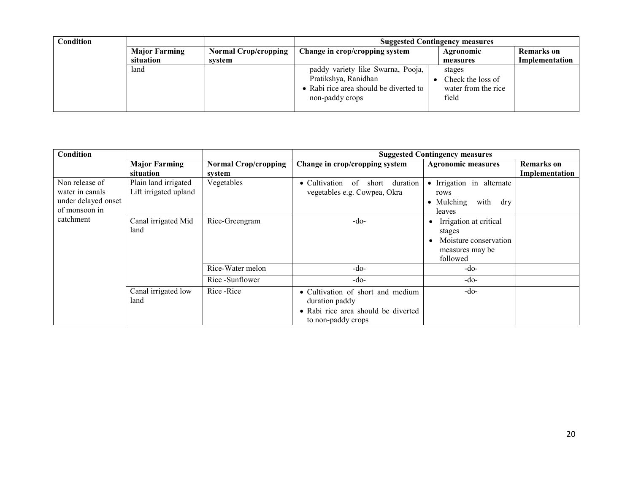| <b>Condition</b> |                      |                             |                                                                                                                        | <b>Suggested Contingency measures</b>                       |                   |
|------------------|----------------------|-----------------------------|------------------------------------------------------------------------------------------------------------------------|-------------------------------------------------------------|-------------------|
|                  | <b>Major Farming</b> | <b>Normal Crop/cropping</b> | Change in crop/cropping system                                                                                         | Agronomic                                                   | <b>Remarks</b> on |
|                  | situation            | system                      |                                                                                                                        | measures                                                    | Implementation    |
|                  | land                 |                             | paddy variety like Swarna, Pooja,<br>Pratikshya, Ranidhan<br>• Rabi rice area should be diverted to<br>non-paddy crops | stages<br>Check the loss of<br>water from the rice<br>field |                   |

| Condition           | <b>Suggested Contingency measures</b>                                              |  |  |
|---------------------|------------------------------------------------------------------------------------|--|--|
|                     | <b>Remarks</b> on<br><b>Agronomic measures</b>                                     |  |  |
|                     | Implementation                                                                     |  |  |
| Non release of      | • Irrigation in alternate<br>duration                                              |  |  |
| water in canals     | rows                                                                               |  |  |
| under delayed onset | • Mulching<br>with<br>dry                                                          |  |  |
| of monsoon in       | leaves                                                                             |  |  |
| catchment           | Irrigation at critical                                                             |  |  |
|                     | stages                                                                             |  |  |
|                     | Moisture conservation                                                              |  |  |
|                     | measures may be                                                                    |  |  |
|                     | followed                                                                           |  |  |
|                     | $-do-$                                                                             |  |  |
|                     | $-do-$                                                                             |  |  |
|                     | • Cultivation of short and medium<br>$-do-$<br>• Rabi rice area should be diverted |  |  |
|                     |                                                                                    |  |  |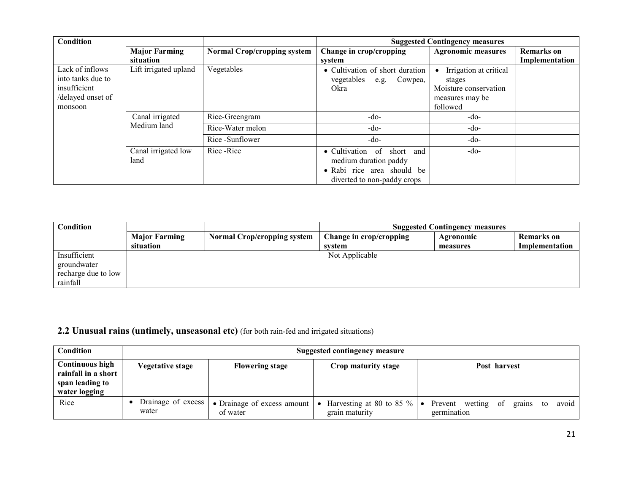| Condition                                                                            |                                   |                             |                                                                                                                                   | <b>Suggested Contingency measures</b>                                                    |                                     |  |
|--------------------------------------------------------------------------------------|-----------------------------------|-----------------------------|-----------------------------------------------------------------------------------------------------------------------------------|------------------------------------------------------------------------------------------|-------------------------------------|--|
|                                                                                      | <b>Major Farming</b><br>situation | Normal Crop/cropping system | Change in crop/cropping<br>system                                                                                                 | <b>Agronomic measures</b>                                                                | <b>Remarks</b> on<br>Implementation |  |
| Lack of inflows<br>into tanks due to<br>insufficient<br>/delayed onset of<br>monsoon | Lift irrigated upland             | Vegetables                  | • Cultivation of short duration<br>vegetables e.g. Cowpea,<br>Okra                                                                | Irrigation at critical<br>stages<br>Moisture conservation<br>measures may be<br>followed |                                     |  |
|                                                                                      | Canal irrigated<br>Medium land    | Rice-Greengram              | -do-                                                                                                                              | -do-                                                                                     |                                     |  |
|                                                                                      |                                   | Rice-Water melon            | -do-                                                                                                                              | $-do-$                                                                                   |                                     |  |
|                                                                                      |                                   | Rice-Sunflower              | -do-                                                                                                                              | -do-                                                                                     |                                     |  |
|                                                                                      | Canal irrigated low<br>land       | Rice - Rice                 | $\bullet$ Cultivation<br>of<br>short<br>and<br>medium duration paddy<br>• Rabi rice area should be<br>diverted to non-paddy crops | -do-                                                                                     |                                     |  |

| Condition           |                      |                                    | <b>Suggested Contingency measures</b> |           |                |
|---------------------|----------------------|------------------------------------|---------------------------------------|-----------|----------------|
|                     | <b>Major Farming</b> | <b>Normal Crop/cropping system</b> | Change in crop/cropping               | Agronomic | Remarks on     |
|                     | situation            |                                    | system                                | measures  | Implementation |
| Insufficient        |                      |                                    | Not Applicable                        |           |                |
| groundwater         |                      |                                    |                                       |           |                |
| recharge due to low |                      |                                    |                                       |           |                |
| rainfall            |                      |                                    |                                       |           |                |

# 2.2 Unusual rains (untimely, unseasonal etc) (for both rain-fed and irrigated situations)

| Condition                                                                         | <b>Suggested contingency measure</b> |                                                               |                                                   |                                                               |  |  |
|-----------------------------------------------------------------------------------|--------------------------------------|---------------------------------------------------------------|---------------------------------------------------|---------------------------------------------------------------|--|--|
| <b>Continuous high</b><br>rainfall in a short<br>span leading to<br>water logging | <b>Vegetative stage</b>              | <b>Flowering stage</b>                                        | Crop maturity stage                               | Post harvest                                                  |  |  |
| Rice                                                                              | Drainage of excess<br>water          | • Drainage of excess amount $\vert \bullet \vert$<br>of water | Harvesting at 80 to 85 $\%$   •<br>grain maturity | Prevent wetting<br>avoid<br>of<br>grains<br>to<br>germination |  |  |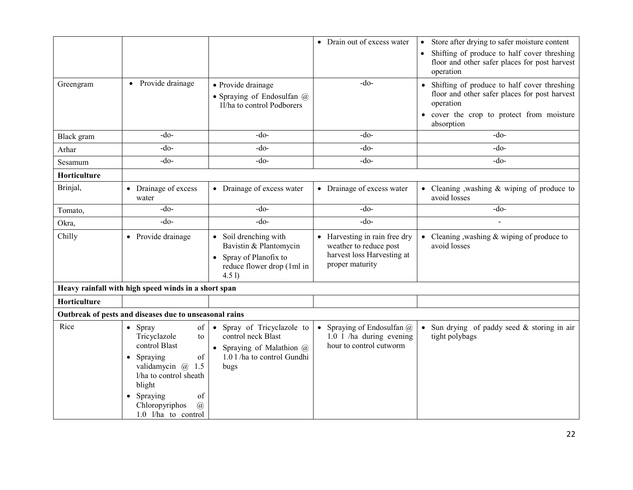|              |                                                        |                                                          | • Drain out of excess water                          | Store after drying to safer moisture content<br>$\bullet$                                    |
|--------------|--------------------------------------------------------|----------------------------------------------------------|------------------------------------------------------|----------------------------------------------------------------------------------------------|
|              |                                                        |                                                          |                                                      | Shifting of produce to half cover threshing                                                  |
|              |                                                        |                                                          |                                                      | floor and other safer places for post harvest<br>operation                                   |
|              | • Provide drainage                                     |                                                          | $-do-$                                               |                                                                                              |
| Greengram    |                                                        | • Provide drainage                                       |                                                      | Shifting of produce to half cover threshing<br>floor and other safer places for post harvest |
|              |                                                        | · Spraying of Endosulfan @<br>11/ha to control Podborers |                                                      | operation                                                                                    |
|              |                                                        |                                                          |                                                      | cover the crop to protect from moisture                                                      |
|              |                                                        |                                                          |                                                      | absorption                                                                                   |
| Black gram   | $-do$                                                  | $-do-$                                                   | $-do$                                                | -do-                                                                                         |
| Arhar        | $-do-$                                                 | $-do-$                                                   | $-do$ -                                              | $-do$                                                                                        |
| Sesamum      | $-do$                                                  | $-do-$                                                   | $-do$                                                | $-do$                                                                                        |
| Horticulture |                                                        |                                                          |                                                      |                                                                                              |
| Brinjal,     | • Drainage of excess                                   | • Drainage of excess water                               | • Drainage of excess water                           | • Cleaning , washing & wiping of produce to<br>avoid losses                                  |
|              | water<br>$-do$                                         | $-do-$                                                   | $-do$                                                | $-do$                                                                                        |
| Tomato,      |                                                        |                                                          |                                                      |                                                                                              |
| Okra,        | $-do$                                                  | $-do$ -                                                  | $-do$ -                                              |                                                                                              |
| Chilly       | • Provide drainage                                     | • Soil drenching with                                    | • Harvesting in rain free dry                        | • Cleaning, washing $&$ wiping of produce to                                                 |
|              |                                                        | Bavistin & Plantomycin                                   | weather to reduce post<br>harvest loss Harvesting at | avoid losses                                                                                 |
|              |                                                        | • Spray of Planofix to<br>reduce flower drop (1ml in     | proper maturity                                      |                                                                                              |
|              |                                                        | 4.5 <sub>1</sub>                                         |                                                      |                                                                                              |
|              | Heavy rainfall with high speed winds in a short span   |                                                          |                                                      |                                                                                              |
| Horticulture |                                                        |                                                          |                                                      |                                                                                              |
|              | Outbreak of pests and diseases due to unseasonal rains |                                                          |                                                      |                                                                                              |
| Rice         | of<br>Spray<br>$\bullet$                               | • Spray of Tricyclazole to                               | Spraying of Endosulfan @                             | Sun drying of paddy seed & storing in air                                                    |
|              | Tricyclazole<br>to                                     | control neck Blast                                       | $1.0$ 1 /ha during evening                           | tight polybags                                                                               |
|              | control Blast                                          | • Spraying of Malathion $@$                              | hour to control cutworm                              |                                                                                              |
|              | of<br>Spraying<br>$\bullet$<br>validamycin @ 1.5       | 1.0 l/ha to control Gundhi<br>bugs                       |                                                      |                                                                                              |
|              | l/ha to control sheath                                 |                                                          |                                                      |                                                                                              |
|              | blight                                                 |                                                          |                                                      |                                                                                              |
|              | Spraying<br>of<br>$\bullet$                            |                                                          |                                                      |                                                                                              |
|              | Chloropyriphos<br>$\mathcal{D}$<br>1.0 l/ha to control |                                                          |                                                      |                                                                                              |
|              |                                                        |                                                          |                                                      |                                                                                              |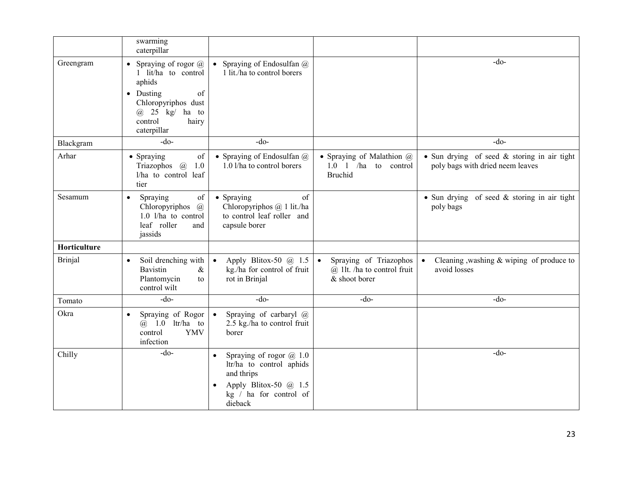|              | swarming<br>caterpillar                                                                                                                                                   |                                                                                                                                                |                                                                                     |                                                                                 |
|--------------|---------------------------------------------------------------------------------------------------------------------------------------------------------------------------|------------------------------------------------------------------------------------------------------------------------------------------------|-------------------------------------------------------------------------------------|---------------------------------------------------------------------------------|
| Greengram    | Spraying of rogor $\omega$<br>1 lit/ha to control<br>aphids<br>$\bullet$ Dusting<br>of<br>Chloropyriphos dust<br>$\omega$ 25 kg/ ha to<br>control<br>hairy<br>caterpillar | • Spraying of Endosulfan $@$<br>1 lit./ha to control borers                                                                                    |                                                                                     | $-do-$                                                                          |
| Blackgram    | $-do$                                                                                                                                                                     | $-do$                                                                                                                                          |                                                                                     | $-do$                                                                           |
| Arhar        | • Spraying<br>of<br>Triazophos $\omega$<br>1.0<br>l/ha to control leaf<br>tier                                                                                            | • Spraying of Endosulfan @<br>1.0 l/ha to control borers                                                                                       | • Spraying of Malathion $@$<br>$1.0 \quad 1$ /ha<br>to control<br><b>Bruchid</b>    | • Sun drying of seed & storing in air tight<br>poly bags with dried neem leaves |
| Sesamum      | of<br>Spraying<br>$\bullet$<br>Chloropyriphos<br>$\mathcal{a}$<br>1.0 l/ha to control<br>leaf roller<br>and<br>jassids                                                    | of<br>• Spraying<br>Chloropyriphos @ 1 lit./ha<br>to control leaf roller and<br>capsule borer                                                  |                                                                                     | • Sun drying of seed & storing in air tight<br>poly bags                        |
| Horticulture |                                                                                                                                                                           |                                                                                                                                                |                                                                                     |                                                                                 |
| Brinjal      | Soil drenching with<br>$\bullet$<br><b>Bavistin</b><br>$\&$<br>Plantomycin<br>to<br>control wilt                                                                          | Apply Blitox-50 $@$ 1.5<br>$\bullet$<br>kg./ha for control of fruit<br>rot in Brinjal                                                          | Spraying of Triazophos<br>$\bullet$<br>@ 1lt. /ha to control fruit<br>& shoot borer | Cleaning , washing & wiping of produce to<br>avoid losses                       |
| Tomato       | $-do$                                                                                                                                                                     | $-do$                                                                                                                                          | $-do-$                                                                              | $-do$                                                                           |
| Okra         | Spraying of Rogor<br>$\bullet$<br>$(a)$ 1.0 ltr/ha to<br><b>YMV</b><br>control<br>infection                                                                               | Spraying of carbaryl @<br>$\bullet$<br>2.5 kg./ha to control fruit<br>borer                                                                    |                                                                                     |                                                                                 |
| Chilly       | $-do-$                                                                                                                                                                    | Spraying of rogor @ 1.0<br>$\bullet$<br>ltr/ha to control aphids<br>and thrips<br>Apply Blitox-50 $@$ 1.5<br>kg / ha for control of<br>dieback |                                                                                     | $-do-$                                                                          |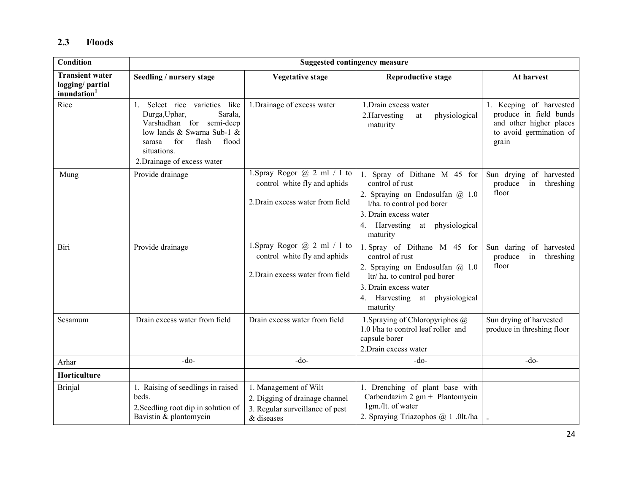#### 2.3 Floods

| <b>Condition</b>                                                      | <b>Suggested contingency measure</b>                                                                                                                                                                 |                                                                                                          |                                                                                                                                                                                             |                                                                                                                  |  |
|-----------------------------------------------------------------------|------------------------------------------------------------------------------------------------------------------------------------------------------------------------------------------------------|----------------------------------------------------------------------------------------------------------|---------------------------------------------------------------------------------------------------------------------------------------------------------------------------------------------|------------------------------------------------------------------------------------------------------------------|--|
| <b>Transient water</b><br>logging/ partial<br>inundation <sup>1</sup> | Seedling / nursery stage                                                                                                                                                                             | <b>Vegetative stage</b>                                                                                  | <b>Reproductive stage</b>                                                                                                                                                                   | At harvest                                                                                                       |  |
| Rice                                                                  | 1. Select rice varieties like<br>Sarala,<br>Durga, Uphar,<br>Varshadhan for semi-deep<br>low lands & Swarna Sub-1 &<br>for<br>flash<br>flood<br>sarasa<br>situations.<br>2. Drainage of excess water | 1. Drainage of excess water                                                                              | 1. Drain excess water<br>2.Harvesting<br>physiological<br>at<br>maturity                                                                                                                    | 1. Keeping of harvested<br>produce in field bunds<br>and other higher places<br>to avoid germination of<br>grain |  |
| Mung                                                                  | Provide drainage                                                                                                                                                                                     | 1. Spray Rogor $@$ 2 ml / 1 to<br>control white fly and aphids<br>2. Drain excess water from field       | 1. Spray of Dithane M 45 for<br>control of rust<br>2. Spraying on Endosulfan $(a)$ 1.0<br>l/ha. to control pod borer<br>3. Drain excess water<br>4. Harvesting at physiological<br>maturity | Sun drying of harvested<br>produce<br>in<br>threshing<br>floor                                                   |  |
| Biri                                                                  | Provide drainage                                                                                                                                                                                     | 1. Spray Rogor $(a)$ 2 ml / 1 to<br>control white fly and aphids<br>2. Drain excess water from field     | 1. Spray of Dithane M 45 for<br>control of rust<br>2. Spraying on Endosulfan @ 1.0<br>ltr/ha. to control pod borer<br>3. Drain excess water<br>4. Harvesting at physiological<br>maturity   | Sun daring of harvested<br>produce<br>threshing<br>in<br>floor                                                   |  |
| Sesamum                                                               | Drain excess water from field                                                                                                                                                                        | Drain excess water from field                                                                            | 1. Spraying of Chloropyriphos @<br>1.0 l/ha to control leaf roller and<br>capsule borer<br>2. Drain excess water                                                                            | Sun drying of harvested<br>produce in threshing floor                                                            |  |
| Arhar                                                                 | $-do$                                                                                                                                                                                                | $-do-$                                                                                                   | $-do$                                                                                                                                                                                       | $-do-$                                                                                                           |  |
| Horticulture                                                          |                                                                                                                                                                                                      |                                                                                                          |                                                                                                                                                                                             |                                                                                                                  |  |
| <b>Brinjal</b>                                                        | 1. Raising of seedlings in raised<br>beds.<br>2. Seedling root dip in solution of<br>Bavistin & plantomycin                                                                                          | 1. Management of Wilt<br>2. Digging of drainage channel<br>3. Regular surveillance of pest<br>& diseases | 1. Drenching of plant base with<br>Carbendazim $2 \text{ gm} + \text{Plantomycin}$<br>1gm./lt. of water<br>2. Spraying Triazophos @ 1 .0lt./ha                                              |                                                                                                                  |  |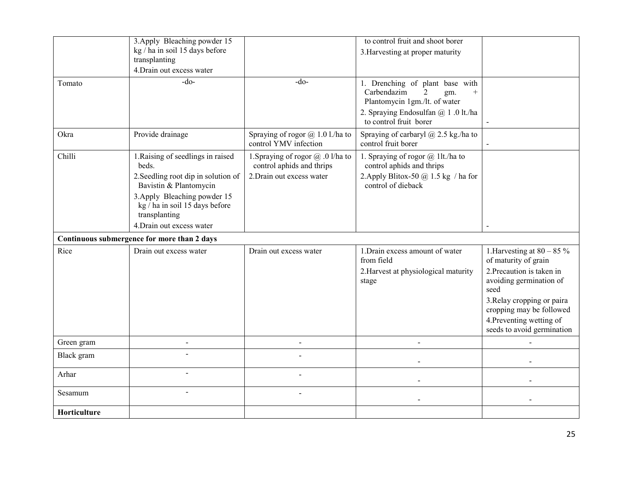|              | 3. Apply Bleaching powder 15<br>kg / ha in soil 15 days before                                                                                                                                                              |                                                                                             | to control fruit and shoot borer<br>3. Harvesting at proper maturity                                                                                                              |                                                                                                                                                                                                          |
|--------------|-----------------------------------------------------------------------------------------------------------------------------------------------------------------------------------------------------------------------------|---------------------------------------------------------------------------------------------|-----------------------------------------------------------------------------------------------------------------------------------------------------------------------------------|----------------------------------------------------------------------------------------------------------------------------------------------------------------------------------------------------------|
|              | transplanting<br>4. Drain out excess water                                                                                                                                                                                  |                                                                                             |                                                                                                                                                                                   |                                                                                                                                                                                                          |
| Tomato       | -do-                                                                                                                                                                                                                        | $-do-$                                                                                      | 1. Drenching of plant base with<br>Carbendazim<br>$\overline{2}$<br>gm.<br>$+$<br>Plantomycin 1gm./lt. of water<br>2. Spraying Endosulfan @ 1 .0 lt./ha<br>to control fruit borer |                                                                                                                                                                                                          |
| Okra         | Provide drainage                                                                                                                                                                                                            | Spraying of rogor $\omega$ 1.0 l./ha to<br>control YMV infection                            | Spraying of carbaryl $\omega$ 2.5 kg./ha to<br>control fruit borer                                                                                                                |                                                                                                                                                                                                          |
| Chilli       | 1. Raising of seedlings in raised<br>beds.<br>2. Seedling root dip in solution of<br>Bavistin & Plantomycin<br>3. Apply Bleaching powder 15<br>kg / ha in soil 15 days before<br>transplanting<br>4. Drain out excess water | 1. Spraying of rogor @ .0 l/ha to<br>control aphids and thrips<br>2. Drain out excess water | 1. Spraying of rogor $\omega$ 1lt./ha to<br>control aphids and thrips<br>2. Apply Blitox-50 $@$ 1.5 kg / ha for<br>control of dieback                                             |                                                                                                                                                                                                          |
| Rice         | Continuous submergence for more than 2 days<br>Drain out excess water                                                                                                                                                       | Drain out excess water                                                                      | 1. Drain excess amount of water                                                                                                                                                   | 1.<br>Harvesting at $80 - 85\%$                                                                                                                                                                          |
|              |                                                                                                                                                                                                                             |                                                                                             | from field<br>2. Harvest at physiological maturity<br>stage                                                                                                                       | of maturity of grain<br>2. Precaution is taken in<br>avoiding germination of<br>seed<br>3. Relay cropping or paira<br>cropping may be followed<br>4. Preventing wetting of<br>seeds to avoid germination |
| Green gram   | $\overline{a}$                                                                                                                                                                                                              | $\overline{a}$                                                                              |                                                                                                                                                                                   |                                                                                                                                                                                                          |
| Black gram   |                                                                                                                                                                                                                             |                                                                                             |                                                                                                                                                                                   |                                                                                                                                                                                                          |
| Arhar        |                                                                                                                                                                                                                             |                                                                                             |                                                                                                                                                                                   |                                                                                                                                                                                                          |
| Sesamum      | $\overline{a}$                                                                                                                                                                                                              |                                                                                             |                                                                                                                                                                                   |                                                                                                                                                                                                          |
| Horticulture |                                                                                                                                                                                                                             |                                                                                             |                                                                                                                                                                                   |                                                                                                                                                                                                          |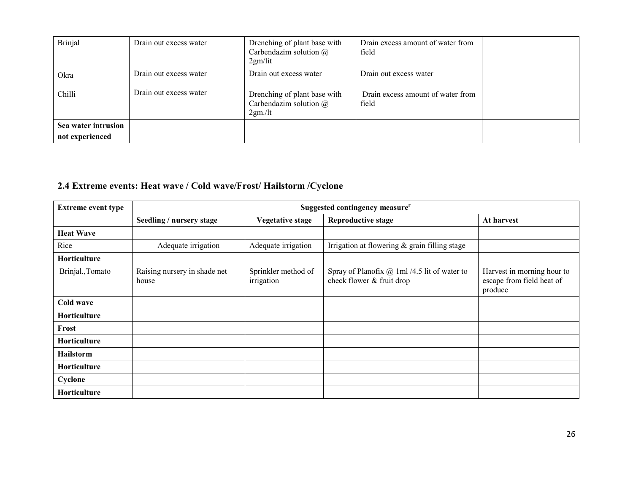| <b>Brinjal</b>                         | Drain out excess water | Drenching of plant base with<br>Carbendazim solution $\omega$<br>2gm/lit | Drain excess amount of water from<br>field |  |
|----------------------------------------|------------------------|--------------------------------------------------------------------------|--------------------------------------------|--|
| Okra                                   | Drain out excess water | Drain out excess water                                                   | Drain out excess water                     |  |
| Chilli                                 | Drain out excess water | Drenching of plant base with<br>Carbendazim solution $\omega$<br>2gm/lt  | Drain excess amount of water from<br>field |  |
| Sea water intrusion<br>not experienced |                        |                                                                          |                                            |  |

# 2.4 Extreme events: Heat wave / Cold wave/Frost/ Hailstorm /Cyclone

| <b>Extreme event type</b> | Suggested contingency measure <sup>r</sup> |                                   |                                                                             |                                                                    |  |
|---------------------------|--------------------------------------------|-----------------------------------|-----------------------------------------------------------------------------|--------------------------------------------------------------------|--|
|                           | Seedling / nursery stage                   | <b>Vegetative stage</b>           | <b>Reproductive stage</b>                                                   | At harvest                                                         |  |
| <b>Heat Wave</b>          |                                            |                                   |                                                                             |                                                                    |  |
| Rice                      | Adequate irrigation                        | Adequate irrigation               | Irrigation at flowering $&$ grain filling stage                             |                                                                    |  |
| Horticulture              |                                            |                                   |                                                                             |                                                                    |  |
| Brinjal., Tomato          | Raising nursery in shade net<br>house      | Sprinkler method of<br>irrigation | Spray of Planofix $@$ 1ml /4.5 lit of water to<br>check flower & fruit drop | Harvest in morning hour to<br>escape from field heat of<br>produce |  |
| Cold wave                 |                                            |                                   |                                                                             |                                                                    |  |
| Horticulture              |                                            |                                   |                                                                             |                                                                    |  |
| Frost                     |                                            |                                   |                                                                             |                                                                    |  |
| Horticulture              |                                            |                                   |                                                                             |                                                                    |  |
| <b>Hailstorm</b>          |                                            |                                   |                                                                             |                                                                    |  |
| Horticulture              |                                            |                                   |                                                                             |                                                                    |  |
| Cyclone                   |                                            |                                   |                                                                             |                                                                    |  |
| Horticulture              |                                            |                                   |                                                                             |                                                                    |  |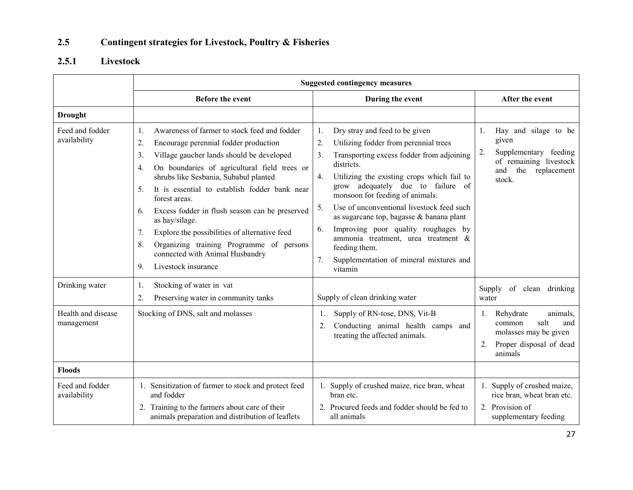#### 2.5Contingent strategies for Livestock, Poultry & Fisheries

#### 2.5.1 Livestock

|                                  | <b>Suggested contingency measures</b>                                                                                                                                                                                                                                                                                                                                                                                                                                                                                                                                          |                                                                                                                                                                                                                                                                                                                                                                                                                                                                                                                                                              |                                                                                                                                  |  |  |
|----------------------------------|--------------------------------------------------------------------------------------------------------------------------------------------------------------------------------------------------------------------------------------------------------------------------------------------------------------------------------------------------------------------------------------------------------------------------------------------------------------------------------------------------------------------------------------------------------------------------------|--------------------------------------------------------------------------------------------------------------------------------------------------------------------------------------------------------------------------------------------------------------------------------------------------------------------------------------------------------------------------------------------------------------------------------------------------------------------------------------------------------------------------------------------------------------|----------------------------------------------------------------------------------------------------------------------------------|--|--|
|                                  | <b>Before the event</b>                                                                                                                                                                                                                                                                                                                                                                                                                                                                                                                                                        | During the event                                                                                                                                                                                                                                                                                                                                                                                                                                                                                                                                             | After the event                                                                                                                  |  |  |
| <b>Drought</b>                   |                                                                                                                                                                                                                                                                                                                                                                                                                                                                                                                                                                                |                                                                                                                                                                                                                                                                                                                                                                                                                                                                                                                                                              |                                                                                                                                  |  |  |
| Feed and fodder<br>availability  | Awareness of farmer to stock feed and fodder<br>1.<br>2.<br>Encourage perennial fodder production<br>3.<br>Village gaucher lands should be developed<br>On boundaries of agricultural field trees or<br>4.<br>shrubs like Sesbania, Subabul planted<br>It is essential to establish fodder bank near<br>5.<br>forest areas.<br>Excess fodder in flush season can be preserved<br>6.<br>as hay/silage.<br>7.<br>Explore the possibilities of alternative feed<br>8.<br>Organizing training Programme of persons<br>connected with Animal Husbandry<br>Livestock insurance<br>9. | Dry stray and feed to be given<br>1.<br>Utilizing fodder from perennial trees<br>2.<br>Transporting excess fodder from adjoining<br>3 <sub>1</sub><br>districts.<br>4.<br>Utilizing the existing crops which fail to<br>grow adequately due to failure of<br>monsoon for feeding of animals.<br>Use of unconventional livestock feed such<br>5.<br>as sugarcane top, bagasse & banana plant<br>Improving poor quality roughages by<br>6.<br>ammonia treatment, urea treatment &<br>feeding them.<br>7.<br>Supplementation of mineral mixtures and<br>vitamin | Hay and silage to be<br>1.<br>given<br>Supplementary feeding<br>2.<br>of remaining livestock<br>the replacement<br>and<br>stock. |  |  |
| Drinking water                   | Stocking of water in vat<br>1.<br>$\overline{2}$ .<br>Preserving water in community tanks                                                                                                                                                                                                                                                                                                                                                                                                                                                                                      | Supply of clean drinking water                                                                                                                                                                                                                                                                                                                                                                                                                                                                                                                               | Supply of clean drinking<br>water                                                                                                |  |  |
| Health and disease<br>management | Stocking of DNS, salt and molasses                                                                                                                                                                                                                                                                                                                                                                                                                                                                                                                                             | Supply of RN-tose, DNS, Vit-B<br>1.<br>Conducting animal health camps and<br>2.<br>treating the affected animals.                                                                                                                                                                                                                                                                                                                                                                                                                                            | Rehydrate<br>animals,<br>1.<br>common<br>salt<br>and<br>molasses may be given<br>Proper disposal of dead<br>2.<br>animals        |  |  |
| <b>Floods</b>                    |                                                                                                                                                                                                                                                                                                                                                                                                                                                                                                                                                                                |                                                                                                                                                                                                                                                                                                                                                                                                                                                                                                                                                              |                                                                                                                                  |  |  |
| Feed and fodder<br>availability  | 1. Sensitization of farmer to stock and protect feed<br>and fodder<br>2. Training to the farmers about care of their<br>animals preparation and distribution of leaflets                                                                                                                                                                                                                                                                                                                                                                                                       | 1. Supply of crushed maize, rice bran, wheat<br>bran etc.<br>2. Procured feeds and fodder should be fed to<br>all animals                                                                                                                                                                                                                                                                                                                                                                                                                                    | 1. Supply of crushed maize,<br>rice bran, wheat bran etc.<br>2. Provision of<br>supplementary feeding                            |  |  |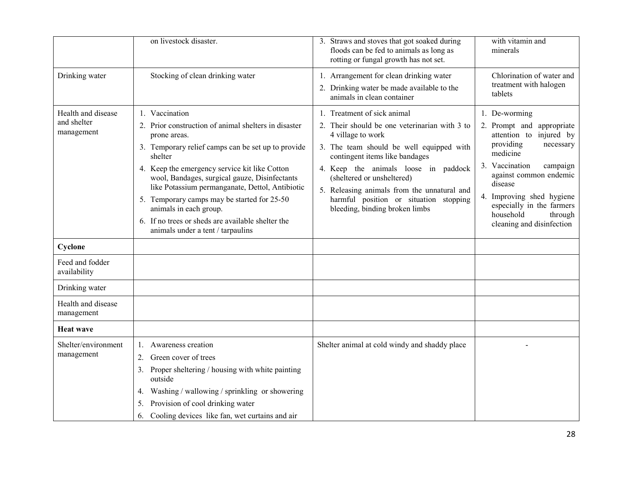|                                                 | on livestock disaster.                                                                                                                                                                                                                                                                                                                                                                                                                                                          | 3. Straws and stoves that got soaked during<br>floods can be fed to animals as long as<br>rotting or fungal growth has not set.                                                                                                                                                                                                                                                  | with vitamin and<br>minerals                                                                                                                                                                                                                                                                  |
|-------------------------------------------------|---------------------------------------------------------------------------------------------------------------------------------------------------------------------------------------------------------------------------------------------------------------------------------------------------------------------------------------------------------------------------------------------------------------------------------------------------------------------------------|----------------------------------------------------------------------------------------------------------------------------------------------------------------------------------------------------------------------------------------------------------------------------------------------------------------------------------------------------------------------------------|-----------------------------------------------------------------------------------------------------------------------------------------------------------------------------------------------------------------------------------------------------------------------------------------------|
| Drinking water                                  | Stocking of clean drinking water                                                                                                                                                                                                                                                                                                                                                                                                                                                | 1. Arrangement for clean drinking water<br>2. Drinking water be made available to the<br>animals in clean container                                                                                                                                                                                                                                                              | Chlorination of water and<br>treatment with halogen<br>tablets                                                                                                                                                                                                                                |
| Health and disease<br>and shelter<br>management | 1. Vaccination<br>2. Prior construction of animal shelters in disaster<br>prone areas.<br>3. Temporary relief camps can be set up to provide<br>shelter<br>4. Keep the emergency service kit like Cotton<br>wool, Bandages, surgical gauze, Disinfectants<br>like Potassium permanganate, Dettol, Antibiotic<br>5. Temporary camps may be started for 25-50<br>animals in each group.<br>6. If no trees or sheds are available shelter the<br>animals under a tent / tarpaulins | 1. Treatment of sick animal<br>2. Their should be one veterinarian with 3 to<br>4 village to work<br>3. The team should be well equipped with<br>contingent items like bandages<br>4. Keep the animals loose in paddock<br>(sheltered or unsheltered)<br>5. Releasing animals from the unnatural and<br>harmful position or situation stopping<br>bleeding, binding broken limbs | 1. De-worming<br>2. Prompt and appropriate<br>attention to injured by<br>providing<br>necessary<br>medicine<br>3. Vaccination<br>campaign<br>against common endemic<br>disease<br>4. Improving shed hygiene<br>especially in the farmers<br>household<br>through<br>cleaning and disinfection |
| Cyclone                                         |                                                                                                                                                                                                                                                                                                                                                                                                                                                                                 |                                                                                                                                                                                                                                                                                                                                                                                  |                                                                                                                                                                                                                                                                                               |
| Feed and fodder<br>availability                 |                                                                                                                                                                                                                                                                                                                                                                                                                                                                                 |                                                                                                                                                                                                                                                                                                                                                                                  |                                                                                                                                                                                                                                                                                               |
| Drinking water                                  |                                                                                                                                                                                                                                                                                                                                                                                                                                                                                 |                                                                                                                                                                                                                                                                                                                                                                                  |                                                                                                                                                                                                                                                                                               |
| Health and disease<br>management                |                                                                                                                                                                                                                                                                                                                                                                                                                                                                                 |                                                                                                                                                                                                                                                                                                                                                                                  |                                                                                                                                                                                                                                                                                               |
| <b>Heat wave</b>                                |                                                                                                                                                                                                                                                                                                                                                                                                                                                                                 |                                                                                                                                                                                                                                                                                                                                                                                  |                                                                                                                                                                                                                                                                                               |
| Shelter/environment<br>management               | 1. Awareness creation<br>Green cover of trees<br>2.<br>3. Proper sheltering / housing with white painting<br>outside<br>Washing / wallowing / sprinkling or showering<br>4.<br>Provision of cool drinking water<br>5.<br>Cooling devices like fan, wet curtains and air<br>6.                                                                                                                                                                                                   | Shelter animal at cold windy and shaddy place                                                                                                                                                                                                                                                                                                                                    |                                                                                                                                                                                                                                                                                               |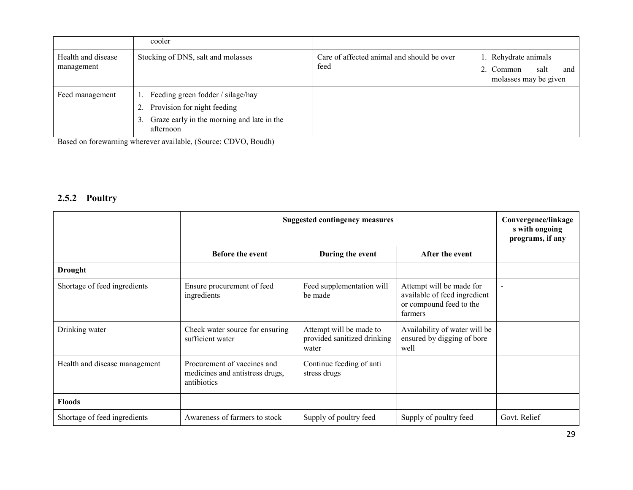|                                  | cooler                                                                                                                                        |                                                    |                                                                           |
|----------------------------------|-----------------------------------------------------------------------------------------------------------------------------------------------|----------------------------------------------------|---------------------------------------------------------------------------|
| Health and disease<br>management | Stocking of DNS, salt and molasses                                                                                                            | Care of affected animal and should be over<br>feed | 1. Rehydrate animals<br>salt<br>2. Common<br>and<br>molasses may be given |
| Feed management                  | Feeding green fodder / silage/hay<br>1.<br>Provision for night feeding<br>2.<br>Graze early in the morning and late in the<br>3.<br>afternoon |                                                    |                                                                           |

Based on forewarning wherever available, (Source: CDVO, Boudh)

#### 2.5.2 Poultry

|                               | <b>Suggested contingency measures</b>                                         | Convergence/linkage<br>s with ongoing<br>programs, if any       |                                                                                                |                |
|-------------------------------|-------------------------------------------------------------------------------|-----------------------------------------------------------------|------------------------------------------------------------------------------------------------|----------------|
|                               |                                                                               |                                                                 |                                                                                                |                |
| <b>Drought</b>                |                                                                               |                                                                 |                                                                                                |                |
| Shortage of feed ingredients  | Ensure procurement of feed<br>ingredients                                     | Feed supplementation will<br>be made                            | Attempt will be made for<br>available of feed ingredient<br>or compound feed to the<br>farmers | $\overline{a}$ |
| Drinking water                | Check water source for ensuring<br>sufficient water                           | Attempt will be made to<br>provided sanitized drinking<br>water | Availability of water will be<br>ensured by digging of bore<br>well                            |                |
| Health and disease management | Procurement of vaccines and<br>medicines and antistress drugs,<br>antibiotics | Continue feeding of anti<br>stress drugs                        |                                                                                                |                |
| <b>Floods</b>                 |                                                                               |                                                                 |                                                                                                |                |
| Shortage of feed ingredients  | Awareness of farmers to stock                                                 | Supply of poultry feed                                          | Supply of poultry feed                                                                         | Govt. Relief   |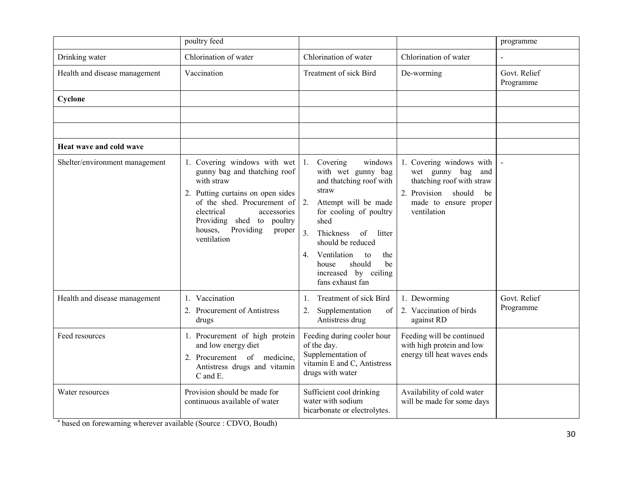|                                | poultry feed                                                                                                                                                                                                                                              |                                                                                                                                                                                                                                                                                                                    |                                                                                                                                                       | programme                 |
|--------------------------------|-----------------------------------------------------------------------------------------------------------------------------------------------------------------------------------------------------------------------------------------------------------|--------------------------------------------------------------------------------------------------------------------------------------------------------------------------------------------------------------------------------------------------------------------------------------------------------------------|-------------------------------------------------------------------------------------------------------------------------------------------------------|---------------------------|
| Drinking water                 | Chlorination of water                                                                                                                                                                                                                                     | Chlorination of water                                                                                                                                                                                                                                                                                              | Chlorination of water                                                                                                                                 | $\mathbf{r}$              |
| Health and disease management  | Vaccination                                                                                                                                                                                                                                               | Treatment of sick Bird                                                                                                                                                                                                                                                                                             | De-worming                                                                                                                                            | Govt. Relief<br>Programme |
| Cyclone                        |                                                                                                                                                                                                                                                           |                                                                                                                                                                                                                                                                                                                    |                                                                                                                                                       |                           |
|                                |                                                                                                                                                                                                                                                           |                                                                                                                                                                                                                                                                                                                    |                                                                                                                                                       |                           |
|                                |                                                                                                                                                                                                                                                           |                                                                                                                                                                                                                                                                                                                    |                                                                                                                                                       |                           |
| Heat wave and cold wave        |                                                                                                                                                                                                                                                           |                                                                                                                                                                                                                                                                                                                    |                                                                                                                                                       |                           |
| Shelter/environment management | 1. Covering windows with wet<br>gunny bag and thatching roof<br>with straw<br>2. Putting curtains on open sides<br>of the shed. Procurement of<br>electrical<br>accessories<br>Providing shed to poultry<br>houses,<br>Providing<br>proper<br>ventilation | Covering<br>windows<br>1.<br>with wet gunny bag<br>and thatching roof with<br>straw<br>2.<br>Attempt will be made<br>for cooling of poultry<br>shed<br>3.<br>Thickness<br>of<br>litter<br>should be reduced<br>Ventilation<br>the<br>to<br>4.<br>should<br>be<br>house<br>increased by ceiling<br>fans exhaust fan | 1. Covering windows with<br>wet gunny bag<br>and<br>thatching roof with straw<br>2. Provision<br>should<br>be<br>made to ensure proper<br>ventilation |                           |
| Health and disease management  | 1. Vaccination<br>2. Procurement of Antistress<br>drugs                                                                                                                                                                                                   | Treatment of sick Bird<br>$\mathbf{1}$ .<br>Supplementation<br>2.<br>of<br>Antistress drug                                                                                                                                                                                                                         | 1. Deworming<br>2. Vaccination of birds<br>against RD                                                                                                 | Govt. Relief<br>Programme |
| Feed resources                 | 1. Procurement of high protein<br>and low energy diet<br>2. Procurement of medicine,<br>Antistress drugs and vitamin<br>C and E.                                                                                                                          | Feeding during cooler hour<br>of the day.<br>Supplementation of<br>vitamin E and C, Antistress<br>drugs with water                                                                                                                                                                                                 | Feeding will be continued<br>with high protein and low<br>energy till heat waves ends                                                                 |                           |
| Water resources                | Provision should be made for<br>continuous available of water                                                                                                                                                                                             | Sufficient cool drinking<br>water with sodium<br>bicarbonate or electrolytes.                                                                                                                                                                                                                                      | Availability of cold water<br>will be made for some days                                                                                              |                           |

<sup>a</sup> based on forewarning wherever available (Source : CDVO, Boudh)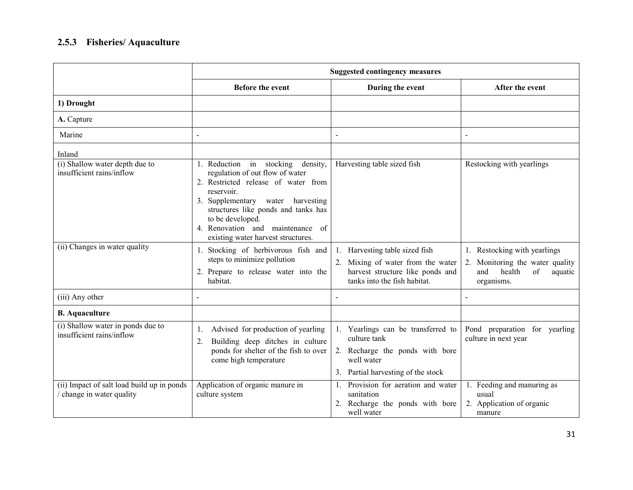### 2.5.3 Fisheries/ Aquaculture

|                                                                       | <b>Suggested contingency measures</b>                                                                                                                                                                                                                                                               |                                                                                                                                           |                                                                                                                    |  |  |  |  |  |
|-----------------------------------------------------------------------|-----------------------------------------------------------------------------------------------------------------------------------------------------------------------------------------------------------------------------------------------------------------------------------------------------|-------------------------------------------------------------------------------------------------------------------------------------------|--------------------------------------------------------------------------------------------------------------------|--|--|--|--|--|
|                                                                       | <b>Before the event</b>                                                                                                                                                                                                                                                                             | During the event                                                                                                                          | After the event                                                                                                    |  |  |  |  |  |
| 1) Drought                                                            |                                                                                                                                                                                                                                                                                                     |                                                                                                                                           |                                                                                                                    |  |  |  |  |  |
| A. Capture                                                            |                                                                                                                                                                                                                                                                                                     |                                                                                                                                           |                                                                                                                    |  |  |  |  |  |
| Marine                                                                | $\blacksquare$                                                                                                                                                                                                                                                                                      | $\overline{\phantom{0}}$                                                                                                                  | $\blacksquare$                                                                                                     |  |  |  |  |  |
| Inland                                                                |                                                                                                                                                                                                                                                                                                     |                                                                                                                                           |                                                                                                                    |  |  |  |  |  |
| (i) Shallow water depth due to<br>insufficient rains/inflow           | 1. Reduction in stocking density,<br>regulation of out flow of water<br>2. Restricted release of water from<br>reservoir.<br>3. Supplementary water harvesting<br>structures like ponds and tanks has<br>to be developed.<br>4. Renovation and maintenance of<br>existing water harvest structures. | Harvesting table sized fish                                                                                                               | Restocking with yearlings                                                                                          |  |  |  |  |  |
| (ii) Changes in water quality                                         | 1. Stocking of herbivorous fish and<br>steps to minimize pollution<br>2. Prepare to release water into the<br>habitat.                                                                                                                                                                              | 1. Harvesting table sized fish<br>2. Mixing of water from the water<br>harvest structure like ponds and<br>tanks into the fish habitat.   | 1. Restocking with yearlings<br>Monitoring the water quality<br>2.<br>health<br>and<br>of<br>aquatic<br>organisms. |  |  |  |  |  |
| (iii) Any other                                                       | $\sim$                                                                                                                                                                                                                                                                                              |                                                                                                                                           |                                                                                                                    |  |  |  |  |  |
| <b>B.</b> Aquaculture                                                 |                                                                                                                                                                                                                                                                                                     |                                                                                                                                           |                                                                                                                    |  |  |  |  |  |
| (i) Shallow water in ponds due to<br>insufficient rains/inflow        | Advised for production of yearling<br>1.<br>Building deep ditches in culture<br>2.<br>ponds for shelter of the fish to over<br>come high temperature                                                                                                                                                | 1. Yearlings can be transferred to<br>culture tank<br>2. Recharge the ponds with bore<br>well water<br>3. Partial harvesting of the stock | Pond preparation for yearling<br>culture in next year                                                              |  |  |  |  |  |
| (ii) Impact of salt load build up in ponds<br>change in water quality | Application of organic manure in<br>culture system                                                                                                                                                                                                                                                  | Provision for aeration and water<br>-1.<br>sanitation<br>2. Recharge the ponds with bore<br>well water                                    | Feeding and manuring as<br>usual<br>2. Application of organic<br>manure                                            |  |  |  |  |  |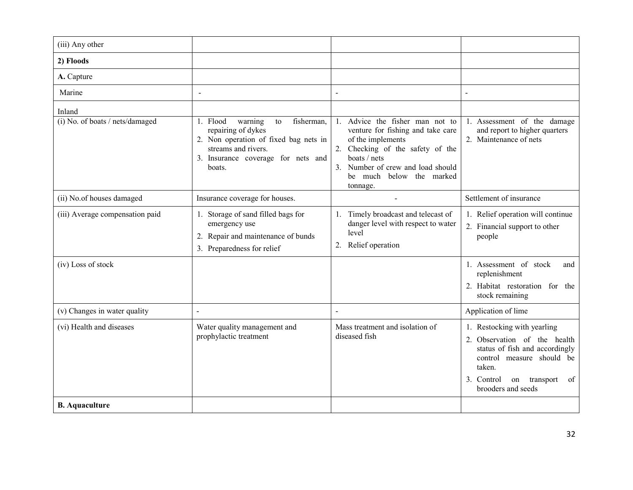| (iii) Any other                 |                                                                                                                                                                               |                                                                                                                                                                                                                               |                                                                                                                                                                                               |
|---------------------------------|-------------------------------------------------------------------------------------------------------------------------------------------------------------------------------|-------------------------------------------------------------------------------------------------------------------------------------------------------------------------------------------------------------------------------|-----------------------------------------------------------------------------------------------------------------------------------------------------------------------------------------------|
| 2) Floods                       |                                                                                                                                                                               |                                                                                                                                                                                                                               |                                                                                                                                                                                               |
| A. Capture                      |                                                                                                                                                                               |                                                                                                                                                                                                                               |                                                                                                                                                                                               |
| Marine                          | $\blacksquare$                                                                                                                                                                | $\ddot{\phantom{a}}$                                                                                                                                                                                                          | $\overline{a}$                                                                                                                                                                                |
| Inland                          |                                                                                                                                                                               |                                                                                                                                                                                                                               |                                                                                                                                                                                               |
| (i) No. of boats / nets/damaged | fisherman,<br>1. Flood<br>warning<br>to<br>repairing of dykes<br>2. Non operation of fixed bag nets in<br>streams and rivers.<br>3. Insurance coverage for nets and<br>boats. | Advice the fisher man not to<br>1.<br>venture for fishing and take care<br>of the implements<br>2. Checking of the safety of the<br>boats / nets<br>3. Number of crew and load should<br>be much below the marked<br>tonnage. | 1. Assessment of the damage<br>and report to higher quarters<br>2. Maintenance of nets                                                                                                        |
| (ii) No.of houses damaged       | Insurance coverage for houses.                                                                                                                                                | $\blacksquare$                                                                                                                                                                                                                | Settlement of insurance                                                                                                                                                                       |
| (iii) Average compensation paid | 1. Storage of sand filled bags for<br>emergency use<br>2. Repair and maintenance of bunds<br>3. Preparedness for relief                                                       | Timely broadcast and telecast of<br>1.<br>danger level with respect to water<br>level<br>2. Relief operation                                                                                                                  | 1. Relief operation will continue<br>2. Financial support to other<br>people                                                                                                                  |
| (iv) Loss of stock              |                                                                                                                                                                               |                                                                                                                                                                                                                               | 1. Assessment of stock<br>and<br>replenishment<br>2. Habitat restoration for the<br>stock remaining                                                                                           |
| (v) Changes in water quality    |                                                                                                                                                                               |                                                                                                                                                                                                                               | Application of lime                                                                                                                                                                           |
| (vi) Health and diseases        | Water quality management and<br>prophylactic treatment                                                                                                                        | Mass treatment and isolation of<br>diseased fish                                                                                                                                                                              | 1. Restocking with yearling<br>2. Observation of the health<br>status of fish and accordingly<br>control measure should be<br>taken.<br>3. Control on transport<br>- of<br>brooders and seeds |
| <b>B.</b> Aquaculture           |                                                                                                                                                                               |                                                                                                                                                                                                                               |                                                                                                                                                                                               |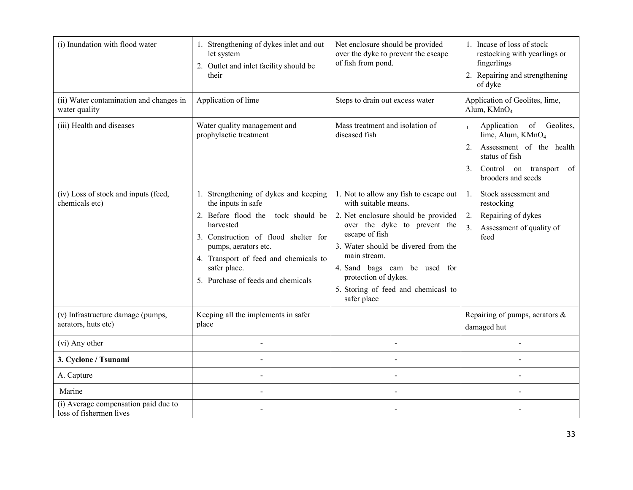| (i) Inundation with flood water                                 | 1. Strengthening of dykes inlet and out<br>let system<br>2. Outlet and inlet facility should be<br>their                                                                                                                                                                         | Net enclosure should be provided<br>over the dyke to prevent the escape<br>of fish from pond.                                                                                                                                                                                                                                | 1. Incase of loss of stock<br>restocking with yearlings or<br>fingerlings<br>2. Repairing and strengthening<br>of dyke                                                            |  |  |
|-----------------------------------------------------------------|----------------------------------------------------------------------------------------------------------------------------------------------------------------------------------------------------------------------------------------------------------------------------------|------------------------------------------------------------------------------------------------------------------------------------------------------------------------------------------------------------------------------------------------------------------------------------------------------------------------------|-----------------------------------------------------------------------------------------------------------------------------------------------------------------------------------|--|--|
| (ii) Water contamination and changes in<br>water quality        | Application of lime                                                                                                                                                                                                                                                              | Steps to drain out excess water                                                                                                                                                                                                                                                                                              | Application of Geolites, lime,<br>Alum, KMnO <sub>4</sub>                                                                                                                         |  |  |
| (iii) Health and diseases                                       | Water quality management and<br>prophylactic treatment                                                                                                                                                                                                                           | Mass treatment and isolation of<br>diseased fish                                                                                                                                                                                                                                                                             | of Geolites,<br>Application<br>$\mathbf{1}$<br>lime, Alum, KMnO <sub>4</sub><br>Assessment of the health<br>status of fish<br>Control on transport of<br>3.<br>brooders and seeds |  |  |
| (iv) Loss of stock and inputs (feed,<br>chemicals etc)          | 1. Strengthening of dykes and keeping<br>the inputs in safe<br>2. Before flood the<br>tock should be<br>harvested<br>3. Construction of flood shelter for<br>pumps, aerators etc.<br>4. Transport of feed and chemicals to<br>safer place.<br>5. Purchase of feeds and chemicals | 1. Not to allow any fish to escape out<br>with suitable means.<br>2. Net enclosure should be provided<br>over the dyke to prevent the<br>escape of fish<br>3. Water should be divered from the<br>main stream.<br>4. Sand bags cam be used for<br>protection of dykes.<br>5. Storing of feed and chemicasl to<br>safer place | Stock assessment and<br>$1_{-}$<br>restocking<br>Repairing of dykes<br>2.<br>3.<br>Assessment of quality of<br>feed                                                               |  |  |
| (v) Infrastructure damage (pumps,<br>aerators, huts etc)        | Keeping all the implements in safer<br>place                                                                                                                                                                                                                                     |                                                                                                                                                                                                                                                                                                                              | Repairing of pumps, aerators $\&$<br>damaged hut                                                                                                                                  |  |  |
| (vi) Any other                                                  | $\overline{a}$                                                                                                                                                                                                                                                                   |                                                                                                                                                                                                                                                                                                                              | $\overline{a}$                                                                                                                                                                    |  |  |
| 3. Cyclone / Tsunami                                            | $\overline{a}$                                                                                                                                                                                                                                                                   | $\sim$                                                                                                                                                                                                                                                                                                                       | $\overline{a}$                                                                                                                                                                    |  |  |
| A. Capture                                                      | $\sim$                                                                                                                                                                                                                                                                           | $\sim$                                                                                                                                                                                                                                                                                                                       | $\overline{a}$                                                                                                                                                                    |  |  |
| Marine                                                          | $\overline{a}$                                                                                                                                                                                                                                                                   |                                                                                                                                                                                                                                                                                                                              | $\overline{a}$                                                                                                                                                                    |  |  |
| (i) Average compensation paid due to<br>loss of fishermen lives |                                                                                                                                                                                                                                                                                  |                                                                                                                                                                                                                                                                                                                              |                                                                                                                                                                                   |  |  |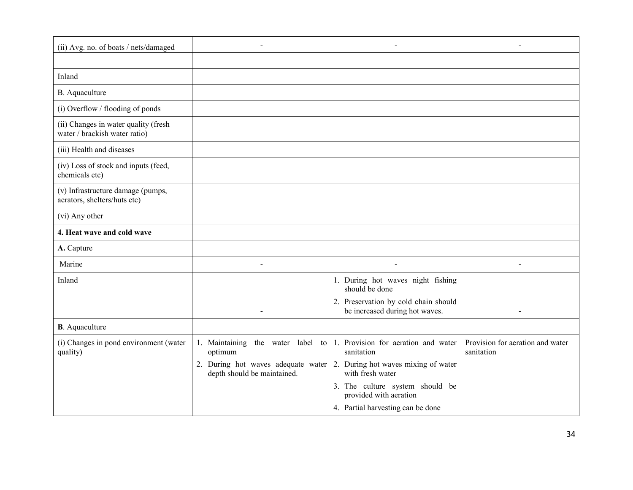| (ii) Avg. no. of boats / nets/damaged                                 |                                                                                                               |                                                                                                                               |                                                |
|-----------------------------------------------------------------------|---------------------------------------------------------------------------------------------------------------|-------------------------------------------------------------------------------------------------------------------------------|------------------------------------------------|
|                                                                       |                                                                                                               |                                                                                                                               |                                                |
| Inland                                                                |                                                                                                               |                                                                                                                               |                                                |
| B. Aquaculture                                                        |                                                                                                               |                                                                                                                               |                                                |
| (i) Overflow / flooding of ponds                                      |                                                                                                               |                                                                                                                               |                                                |
| (ii) Changes in water quality (fresh<br>water / brackish water ratio) |                                                                                                               |                                                                                                                               |                                                |
| (iii) Health and diseases                                             |                                                                                                               |                                                                                                                               |                                                |
| (iv) Loss of stock and inputs (feed,<br>chemicals etc)                |                                                                                                               |                                                                                                                               |                                                |
| (v) Infrastructure damage (pumps,<br>aerators, shelters/huts etc)     |                                                                                                               |                                                                                                                               |                                                |
| (vi) Any other                                                        |                                                                                                               |                                                                                                                               |                                                |
| 4. Heat wave and cold wave                                            |                                                                                                               |                                                                                                                               |                                                |
| A. Capture                                                            |                                                                                                               |                                                                                                                               |                                                |
| Marine                                                                |                                                                                                               |                                                                                                                               |                                                |
| Inland                                                                | $\overline{a}$                                                                                                | 1. During hot waves night fishing<br>should be done<br>2. Preservation by cold chain should<br>be increased during hot waves. | $\sim$                                         |
| <b>B</b> . Aquaculture                                                |                                                                                                               |                                                                                                                               |                                                |
| (i) Changes in pond environment (water<br>quality)                    | 1. Maintaining the water label to $ 1$ . Provision for aeration and water<br>optimum                          | sanitation                                                                                                                    | Provision for aeration and water<br>sanitation |
|                                                                       | 2. During hot waves adequate water $\vert$ 2. During hot waves mixing of water<br>depth should be maintained. | with fresh water                                                                                                              |                                                |
|                                                                       |                                                                                                               | 3. The culture system should be<br>provided with aeration                                                                     |                                                |
|                                                                       |                                                                                                               | 4. Partial harvesting can be done                                                                                             |                                                |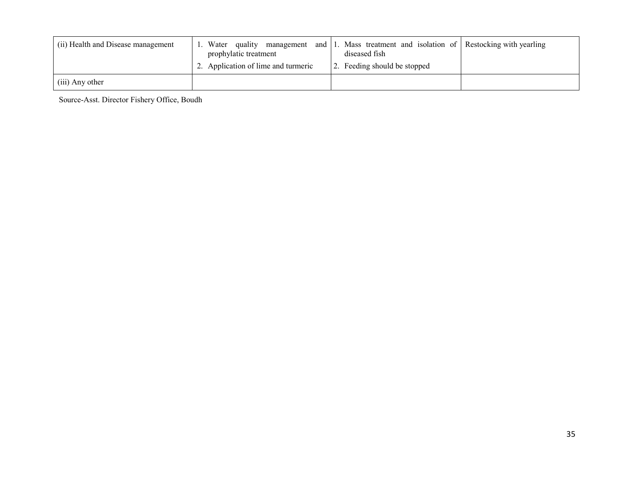| (ii) Health and Disease management | Water<br>and<br>quality management<br>prophylatic treatment<br>2. Application of lime and turmeric | Mass treatment and isolation of Restocking with yearling<br>diseased fish<br>2. Feeding should be stopped |  |
|------------------------------------|----------------------------------------------------------------------------------------------------|-----------------------------------------------------------------------------------------------------------|--|
| (iii) Any other                    |                                                                                                    |                                                                                                           |  |

Source-Asst. Director Fishery Office, Boudh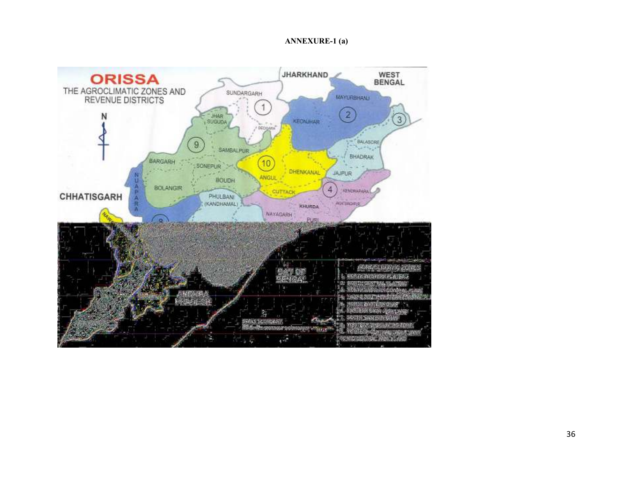#### ANNEXURE-1 (a)

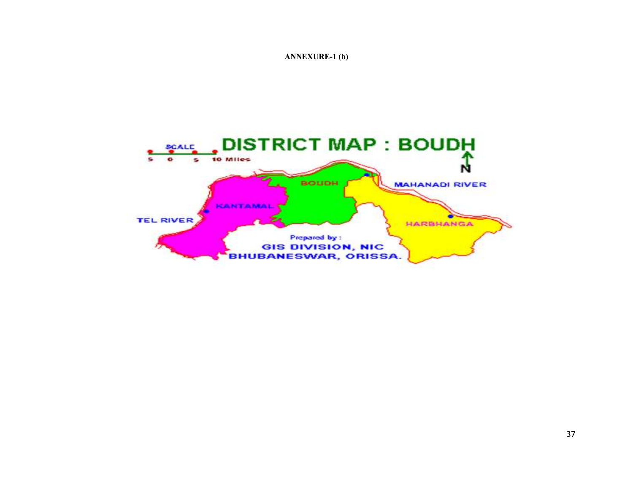#### ANNEXURE-1 (b)

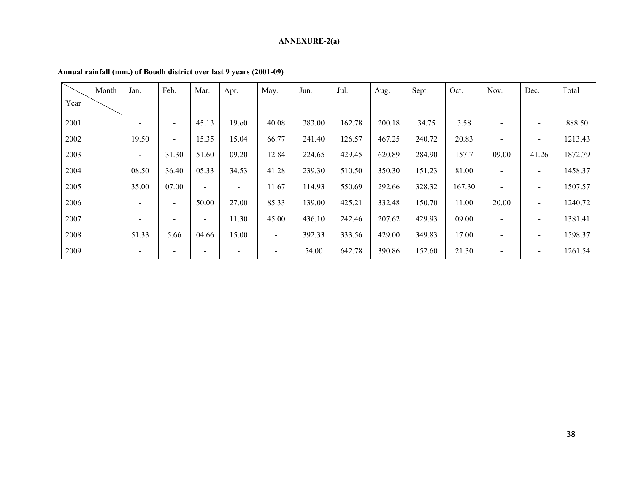#### ANNEXURE-2(a)

|      | Month | Jan.                     | Feb.                     | Mar.                     | Apr.  | May.                     | Jun.   | Jul.   | Aug.   | Sept.  | Oct.   | Nov.                     | Dec.  | Total   |
|------|-------|--------------------------|--------------------------|--------------------------|-------|--------------------------|--------|--------|--------|--------|--------|--------------------------|-------|---------|
| Year |       |                          |                          |                          |       |                          |        |        |        |        |        |                          |       |         |
| 2001 |       |                          | $\overline{\phantom{a}}$ | 45.13                    | 19.00 | 40.08                    | 383.00 | 162.78 | 200.18 | 34.75  | 3.58   | $\overline{\phantom{a}}$ |       | 888.50  |
| 2002 |       | 19.50                    | $\overline{\phantom{a}}$ | 15.35                    | 15.04 | 66.77                    | 241.40 | 126.57 | 467.25 | 240.72 | 20.83  | $\overline{\phantom{a}}$ |       | 1213.43 |
| 2003 |       | $\blacksquare$           | 31.30                    | 51.60                    | 09.20 | 12.84                    | 224.65 | 429.45 | 620.89 | 284.90 | 157.7  | 09.00                    | 41.26 | 1872.79 |
| 2004 |       | 08.50                    | 36.40                    | 05.33                    | 34.53 | 41.28                    | 239.30 | 510.50 | 350.30 | 151.23 | 81.00  | $\overline{\phantom{a}}$ | $\,$  | 1458.37 |
| 2005 |       | 35.00                    | 07.00                    | $\blacksquare$           | -     | 11.67                    | 114.93 | 550.69 | 292.66 | 328.32 | 167.30 | $\overline{\phantom{a}}$ |       | 1507.57 |
| 2006 |       | $\overline{\phantom{a}}$ | $\overline{\phantom{a}}$ | 50.00                    | 27.00 | 85.33                    | 139.00 | 425.21 | 332.48 | 150.70 | 11.00  | 20.00                    | $\,$  | 1240.72 |
| 2007 |       | $\overline{\phantom{a}}$ | $\sim$                   | $\sim$                   | 11.30 | 45.00                    | 436.10 | 242.46 | 207.62 | 429.93 | 09.00  | $\overline{\phantom{a}}$ |       | 1381.41 |
| 2008 |       | 51.33                    | 5.66                     | 04.66                    | 15.00 | $\overline{\phantom{a}}$ | 392.33 | 333.56 | 429.00 | 349.83 | 17.00  | $\overline{\phantom{a}}$ |       | 1598.37 |
| 2009 |       | $\overline{\phantom{a}}$ | $\overline{\phantom{a}}$ | $\overline{\phantom{a}}$ |       | $\overline{\phantom{a}}$ | 54.00  | 642.78 | 390.86 | 152.60 | 21.30  | $\overline{\phantom{a}}$ |       | 1261.54 |

#### Annual rainfall (mm.) of Boudh district over last 9 years (2001-09)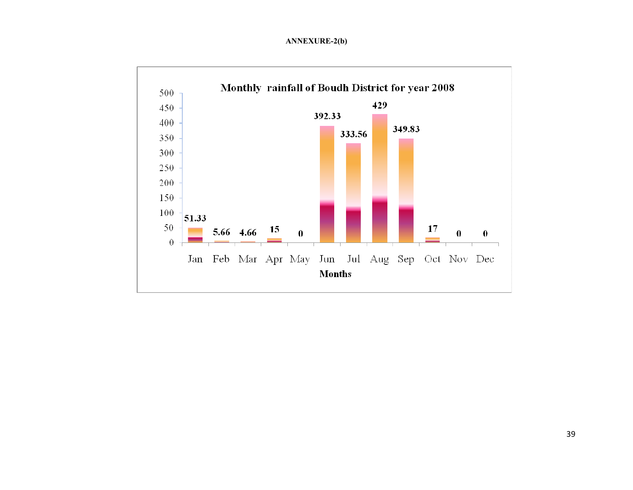#### ANNEXURE-2(b)